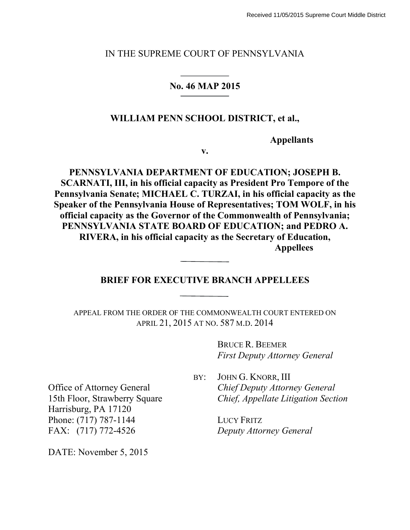#### IN THE SUPREME COURT OF PENNSYLVANIA

## **No. 46 MAP 2015**

## **WILLIAM PENN SCHOOL DISTRICT, et al.,**

**Appellants**

**v.**

**PENNSYLVANIA DEPARTMENT OF EDUCATION; JOSEPH B. SCARNATI, III, in his official capacity as President Pro Tempore of the Pennsylvania Senate; MICHAEL C. TURZAI, in his official capacity as the Speaker of the Pennsylvania House of Representatives; TOM WOLF, in his official capacity as the Governor of the Commonwealth of Pennsylvania; PENNSYLVANIA STATE BOARD OF EDUCATION; and PEDRO A. RIVERA, in his official capacity as the Secretary of Education, Appellees**

## **BRIEF FOR EXECUTIVE BRANCH APPELLEES**

APPEAL FROM THE ORDER OF THE COMMONWEALTH COURT ENTERED ON APRIL 21, 2015 AT NO. 587 M.D. 2014

> BRUCE R. BEEMER *First Deputy Attorney General*

Office of Attorney General 15th Floor, Strawberry Square Harrisburg, PA 17120 Phone: (717) 787-1144 FAX: (717) 772-4526

DATE: November 5, 2015

BY: JOHN G. KNORR, III *Chief Deputy Attorney General Chief, Appellate Litigation Section*

> LUCY FRITZ *Deputy Attorney General*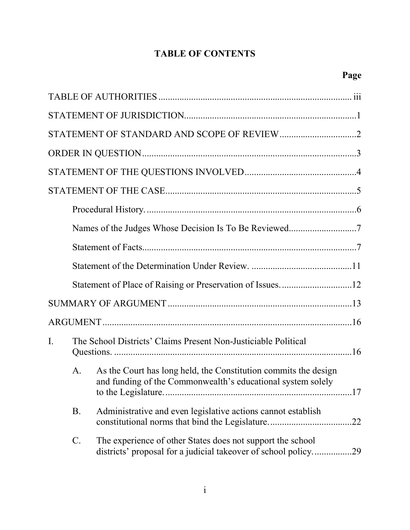# **TABLE OF CONTENTS**

| $\mathbf{I}$ . |                | The School Districts' Claims Present Non-Justiciable Political                                                                 |     |
|----------------|----------------|--------------------------------------------------------------------------------------------------------------------------------|-----|
|                | $\mathbf{A}$ . | As the Court has long held, the Constitution commits the design<br>and funding of the Commonwealth's educational system solely | 17  |
|                | <b>B.</b>      | Administrative and even legislative actions cannot establish                                                                   |     |
|                | C.             | The experience of other States does not support the school<br>districts' proposal for a judicial takeover of school policy     | .29 |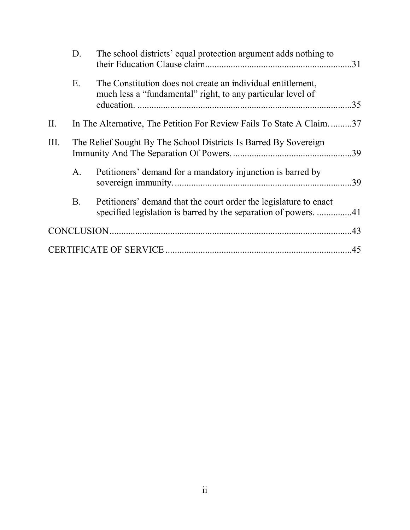|      | D.          | The school districts' equal protection argument adds nothing to                                                            |     |
|------|-------------|----------------------------------------------------------------------------------------------------------------------------|-----|
|      | Ε.          | The Constitution does not create an individual entitlement,<br>much less a "fundamental" right, to any particular level of | .35 |
| II.  |             | In The Alternative, The Petition For Review Fails To State A Claim37                                                       |     |
| III. |             | The Relief Sought By The School Districts Is Barred By Sovereign                                                           |     |
|      | $A_{\cdot}$ | Petitioners' demand for a mandatory injunction is barred by                                                                |     |
|      | <b>B</b> .  | Petitioners' demand that the court order the legislature to enact                                                          |     |
|      |             |                                                                                                                            |     |
|      |             |                                                                                                                            | .45 |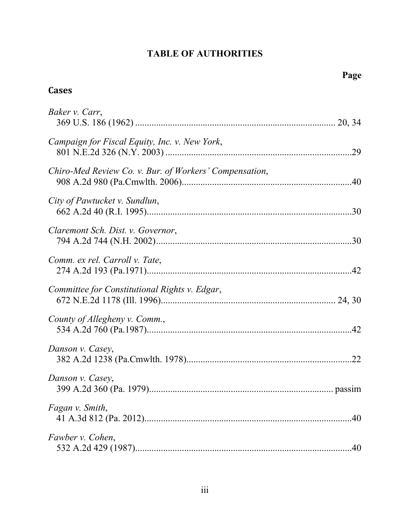# **TABLE OF AUTHORITIES**

# **Cases**

| Baker v. Carr,                                         |  |
|--------------------------------------------------------|--|
| Campaign for Fiscal Equity, Inc. v. New York,          |  |
| Chiro-Med Review Co. v. Bur. of Workers' Compensation, |  |
| City of Pawtucket v. Sundlun,                          |  |
| Claremont Sch. Dist. v. Governor,                      |  |
| Comm. ex rel. Carroll v. Tate,                         |  |
| Committee for Constitutional Rights v. Edgar,          |  |
| County of Allegheny v. Comm.,                          |  |
| Danson v. Casey,                                       |  |
| Danson v. Casey,                                       |  |
| Fagan v. Smith,                                        |  |
| Fawber v. Cohen,                                       |  |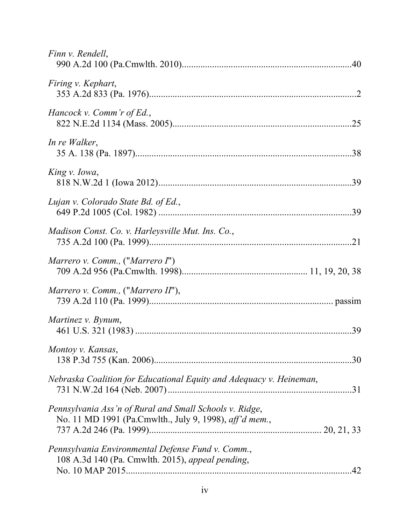| Finn v. Rendell,                                                                                                  |  |
|-------------------------------------------------------------------------------------------------------------------|--|
| Firing v. Kephart,                                                                                                |  |
| Hancock v. Comm'r of Ed.,                                                                                         |  |
| In re Walker,                                                                                                     |  |
| King v. Iowa,                                                                                                     |  |
| Lujan v. Colorado State Bd. of Ed.,                                                                               |  |
| Madison Const. Co. v. Harleysville Mut. Ins. Co.,                                                                 |  |
| Marrero v. Comm., ("Marrero $I$ ")                                                                                |  |
| Marrero v. Comm., ("Marrero II"),                                                                                 |  |
| Martinez v. Bynum,                                                                                                |  |
| Montoy v. Kansas,                                                                                                 |  |
| Nebraska Coalition for Educational Equity and Adequacy v. Heineman,                                               |  |
| Pennsylvania Ass'n of Rural and Small Schools v. Ridge,<br>No. 11 MD 1991 (Pa.Cmwlth., July 9, 1998), aff'd mem., |  |
| Pennsylvania Environmental Defense Fund v. Comm.,<br>108 A.3d 140 (Pa. Cmwlth. 2015), appeal pending,             |  |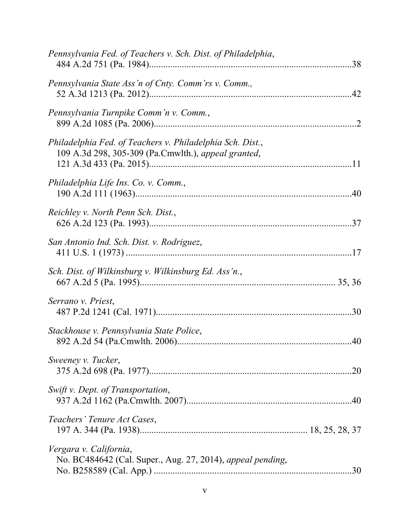| Pennsylvania Fed. of Teachers v. Sch. Dist. of Philadelphia,                                                     |     |
|------------------------------------------------------------------------------------------------------------------|-----|
| Pennsylvania State Ass'n of Cnty. Comm'rs v. Comm.,                                                              |     |
| Pennsylvania Turnpike Comm'n v. Comm.,                                                                           |     |
| Philadelphia Fed. of Teachers v. Philadelphia Sch. Dist.,<br>109 A.3d 298, 305-309 (Pa.Cmwlth.), appeal granted, |     |
| Philadelphia Life Ins. Co. v. Comm.,                                                                             |     |
| Reichley v. North Penn Sch. Dist.,                                                                               |     |
| San Antonio Ind. Sch. Dist. v. Rodriguez,                                                                        |     |
| Sch. Dist. of Wilkinsburg v. Wilkinsburg Ed. Ass'n.,                                                             |     |
| Serrano v. Priest,                                                                                               |     |
| Stackhouse v. Pennsylvania State Police,                                                                         |     |
| Sweeney v. Tucker,                                                                                               | .20 |
| Swift v. Dept. of Transportation,                                                                                |     |
| Teachers' Tenure Act Cases,                                                                                      |     |
| Vergara v. California,<br>No. BC484642 (Cal. Super., Aug. 27, 2014), appeal pending,                             | .30 |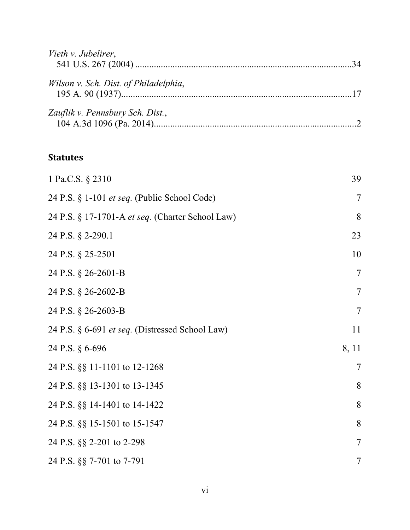| Vieth v. Jubelirer,                   |  |
|---------------------------------------|--|
| Wilson v. Sch. Dist. of Philadelphia, |  |
| Zauflik v. Pennsbury Sch. Dist.,      |  |

# **Statutes**

| 1 Pa.C.S. § 2310                                 | 39                       |
|--------------------------------------------------|--------------------------|
| 24 P.S. § 1-101 et seq. (Public School Code)     | $\overline{7}$           |
| 24 P.S. § 17-1701-A et seq. (Charter School Law) | 8                        |
| 24 P.S. § 2-290.1                                | 23                       |
| 24 P.S. § 25-2501                                | 10                       |
| 24 P.S. § 26-2601-B                              | $\overline{\mathcal{L}}$ |
| 24 P.S. § 26-2602-B                              | $\overline{7}$           |
| 24 P.S. § 26-2603-B                              | $\tau$                   |
| 24 P.S. § 6-691 et seq. (Distressed School Law)  | 11                       |
| 24 P.S. § 6-696                                  | 8, 11                    |
| 24 P.S. §§ 11-1101 to 12-1268                    | $\overline{7}$           |
| 24 P.S. §§ 13-1301 to 13-1345                    | 8                        |
| 24 P.S. §§ 14-1401 to 14-1422                    | 8                        |
| 24 P.S. §§ 15-1501 to 15-1547                    | 8                        |
| 24 P.S. §§ 2-201 to 2-298                        | $\overline{7}$           |
| 24 P.S. §§ 7-701 to 7-791                        | $\tau$                   |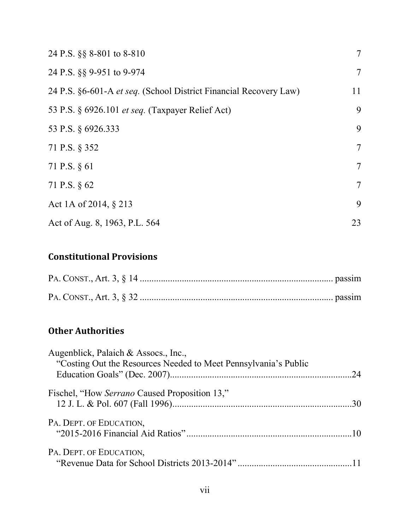| 24 P.S. §§ 8-801 to 8-810                                         | $\overline{7}$ |
|-------------------------------------------------------------------|----------------|
| 24 P.S. §§ 9-951 to 9-974                                         | $\overline{7}$ |
| 24 P.S. §6-601-A et seq. (School District Financial Recovery Law) | 11             |
| 53 P.S. § 6926.101 <i>et seq.</i> (Taxpayer Relief Act)           | 9              |
| 53 P.S. § 6926.333                                                | 9              |
| 71 P.S. § 352                                                     | $\overline{7}$ |
| 71 P.S. § 61                                                      | $\overline{7}$ |
| 71 P.S. § 62                                                      | $\overline{7}$ |
| Act 1A of 2014, § 213                                             | 9              |
| Act of Aug. 8, 1963, P.L. 564                                     | 23             |

# **Constitutional Provisions**

# **Other Authorities**

| Augenblick, Palaich & Assocs., Inc.,                            |  |
|-----------------------------------------------------------------|--|
| "Costing Out the Resources Needed to Meet Pennsylvania's Public |  |
| Fischel, "How Serrano Caused Proposition 13,"                   |  |
| PA. DEPT. OF EDUCATION,                                         |  |
| PA. DEPT. OF EDUCATION,                                         |  |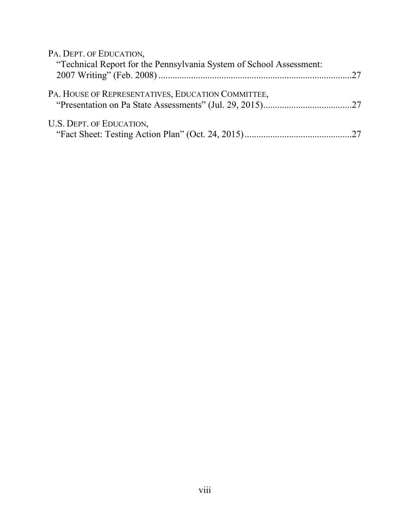| PA. DEPT. OF EDUCATION,                                             |  |
|---------------------------------------------------------------------|--|
| "Technical Report for the Pennsylvania System of School Assessment: |  |
|                                                                     |  |
| PA. HOUSE OF REPRESENTATIVES, EDUCATION COMMITTEE,                  |  |
| U.S. DEPT. OF EDUCATION,                                            |  |
|                                                                     |  |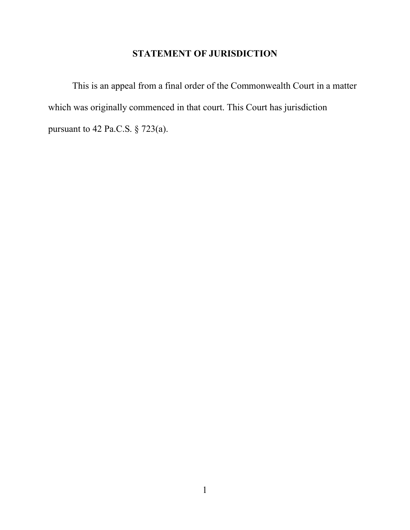# **STATEMENT OF JURISDICTION**

This is an appeal from a final order of the Commonwealth Court in a matter which was originally commenced in that court. This Court has jurisdiction pursuant to 42 Pa.C.S. § 723(a).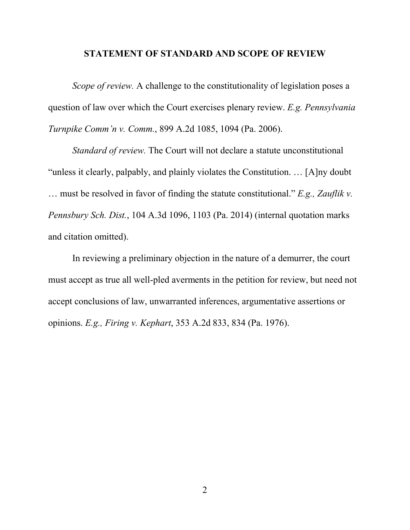#### **STATEMENT OF STANDARD AND SCOPE OF REVIEW**

*Scope of review.* A challenge to the constitutionality of legislation poses a question of law over which the Court exercises plenary review. *E.g. Pennsylvania Turnpike Comm'n v. Comm.*, 899 A.2d 1085, 1094 (Pa. 2006).

*Standard of review.* The Court will not declare a statute unconstitutional "unless it clearly, palpably, and plainly violates the Constitution. … [A]ny doubt … must be resolved in favor of finding the statute constitutional." *E.g., Zauflik v. Pennsbury Sch. Dist.*, 104 A.3d 1096, 1103 (Pa. 2014) (internal quotation marks and citation omitted).

In reviewing a preliminary objection in the nature of a demurrer, the court must accept as true all well-pled averments in the petition for review, but need not accept conclusions of law, unwarranted inferences, argumentative assertions or opinions. *E.g., Firing v. Kephart*, 353 A.2d 833, 834 (Pa. 1976).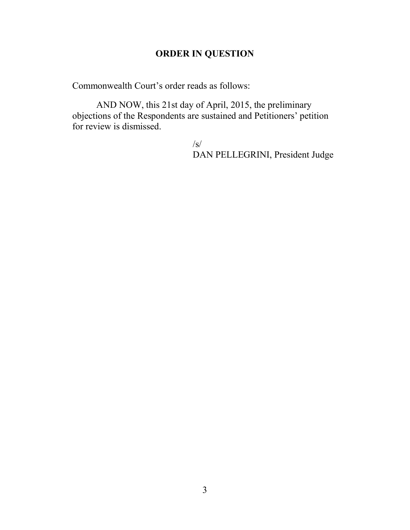# **ORDER IN QUESTION**

Commonwealth Court's order reads as follows:

AND NOW, this 21st day of April, 2015, the preliminary objections of the Respondents are sustained and Petitioners' petition for review is dismissed.

> $\sqrt{s}$ DAN PELLEGRINI, President Judge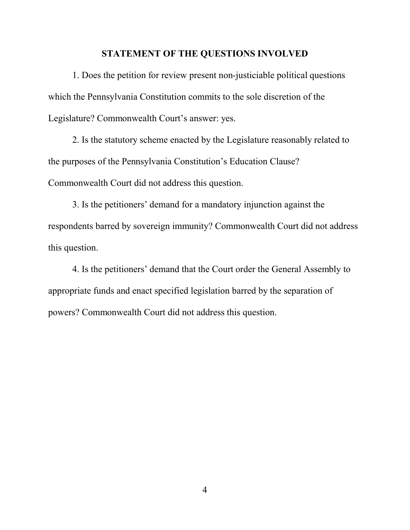#### **STATEMENT OF THE QUESTIONS INVOLVED**

1. Does the petition for review present non-justiciable political questions which the Pennsylvania Constitution commits to the sole discretion of the Legislature? Commonwealth Court's answer: yes.

2. Is the statutory scheme enacted by the Legislature reasonably related to the purposes of the Pennsylvania Constitution's Education Clause? Commonwealth Court did not address this question.

3. Is the petitioners' demand for a mandatory injunction against the respondents barred by sovereign immunity? Commonwealth Court did not address this question.

4. Is the petitioners' demand that the Court order the General Assembly to appropriate funds and enact specified legislation barred by the separation of powers? Commonwealth Court did not address this question.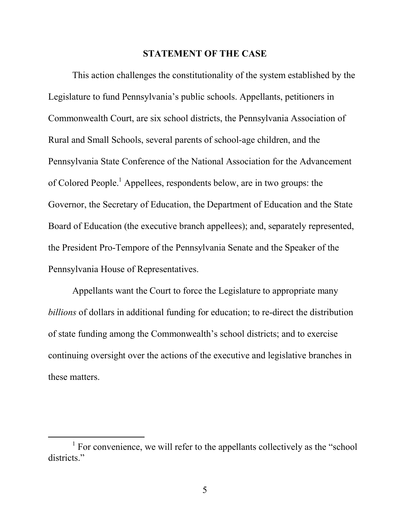#### **STATEMENT OF THE CASE**

This action challenges the constitutionality of the system established by the Legislature to fund Pennsylvania's public schools. Appellants, petitioners in Commonwealth Court, are six school districts, the Pennsylvania Association of Rural and Small Schools, several parents of school-age children, and the Pennsylvania State Conference of the National Association for the Advancement of Colored People.1 Appellees, respondents below, are in two groups: the Governor, the Secretary of Education, the Department of Education and the State Board of Education (the executive branch appellees); and, separately represented, the President Pro-Tempore of the Pennsylvania Senate and the Speaker of the Pennsylvania House of Representatives.

Appellants want the Court to force the Legislature to appropriate many *billions* of dollars in additional funding for education; to re-direct the distribution of state funding among the Commonwealth's school districts; and to exercise continuing oversight over the actions of the executive and legislative branches in these matters.

 $1$  For convenience, we will refer to the appellants collectively as the "school" districts."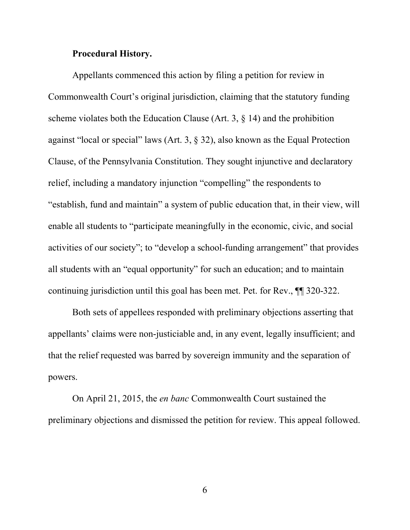#### **Procedural History.**

Appellants commenced this action by filing a petition for review in Commonwealth Court's original jurisdiction, claiming that the statutory funding scheme violates both the Education Clause (Art. 3, § 14) and the prohibition against "local or special" laws (Art. 3, § 32), also known as the Equal Protection Clause, of the Pennsylvania Constitution. They sought injunctive and declaratory relief, including a mandatory injunction "compelling" the respondents to "establish, fund and maintain" a system of public education that, in their view, will enable all students to "participate meaningfully in the economic, civic, and social activities of our society"; to "develop a school-funding arrangement" that provides all students with an "equal opportunity" for such an education; and to maintain continuing jurisdiction until this goal has been met. Pet. for Rev., ¶¶ 320-322.

Both sets of appellees responded with preliminary objections asserting that appellants' claims were non-justiciable and, in any event, legally insufficient; and that the relief requested was barred by sovereign immunity and the separation of powers.

On April 21, 2015, the *en banc* Commonwealth Court sustained the preliminary objections and dismissed the petition for review. This appeal followed.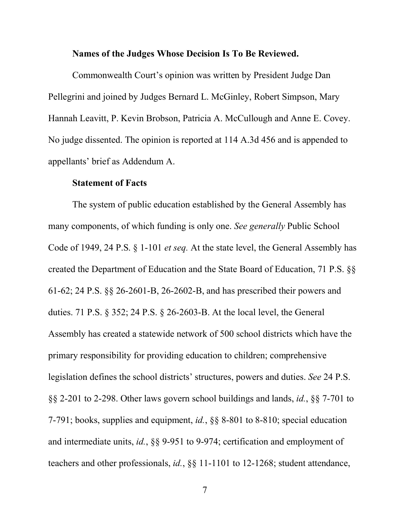#### **Names of the Judges Whose Decision Is To Be Reviewed.**

Commonwealth Court's opinion was written by President Judge Dan Pellegrini and joined by Judges Bernard L. McGinley, Robert Simpson, Mary Hannah Leavitt, P. Kevin Brobson, Patricia A. McCullough and Anne E. Covey. No judge dissented. The opinion is reported at 114 A.3d 456 and is appended to appellants' brief as Addendum A.

#### **Statement of Facts**

The system of public education established by the General Assembly has many components, of which funding is only one. *See generally* Public School Code of 1949, 24 P.S. § 1-101 *et seq.* At the state level, the General Assembly has created the Department of Education and the State Board of Education, 71 P.S. §§ 61-62; 24 P.S. §§ 26-2601-B, 26-2602-B, and has prescribed their powers and duties. 71 P.S. § 352; 24 P.S. § 26-2603-B. At the local level, the General Assembly has created a statewide network of 500 school districts which have the primary responsibility for providing education to children; comprehensive legislation defines the school districts' structures, powers and duties. *See* 24 P.S. §§ 2-201 to 2-298. Other laws govern school buildings and lands, *id.*, §§ 7-701 to 7-791; books, supplies and equipment, *id.*, §§ 8-801 to 8-810; special education and intermediate units, *id.*, §§ 9-951 to 9-974; certification and employment of teachers and other professionals, *id.*, §§ 11-1101 to 12-1268; student attendance,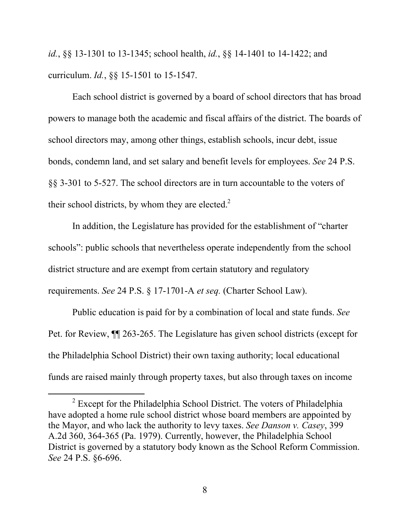*id.*, §§ 13-1301 to 13-1345; school health, *id.*, §§ 14-1401 to 14-1422; and curriculum. *Id.*, §§ 15-1501 to 15-1547.

Each school district is governed by a board of school directors that has broad powers to manage both the academic and fiscal affairs of the district. The boards of school directors may, among other things, establish schools, incur debt, issue bonds, condemn land, and set salary and benefit levels for employees. *See* 24 P.S. §§ 3-301 to 5-527. The school directors are in turn accountable to the voters of their school districts, by whom they are elected. $2$ 

In addition, the Legislature has provided for the establishment of "charter schools": public schools that nevertheless operate independently from the school district structure and are exempt from certain statutory and regulatory requirements. *See* 24 P.S. § 17-1701-A *et seq.* (Charter School Law).

Public education is paid for by a combination of local and state funds. *See* Pet. for Review, ¶¶ 263-265. The Legislature has given school districts (except for the Philadelphia School District) their own taxing authority; local educational funds are raised mainly through property taxes, but also through taxes on income

<sup>&</sup>lt;sup>2</sup> Except for the Philadelphia School District. The voters of Philadelphia have adopted a home rule school district whose board members are appointed by the Mayor, and who lack the authority to levy taxes. *See Danson v. Casey*, 399 A.2d 360, 364-365 (Pa. 1979). Currently, however, the Philadelphia School District is governed by a statutory body known as the School Reform Commission. *See* 24 P.S. §6-696.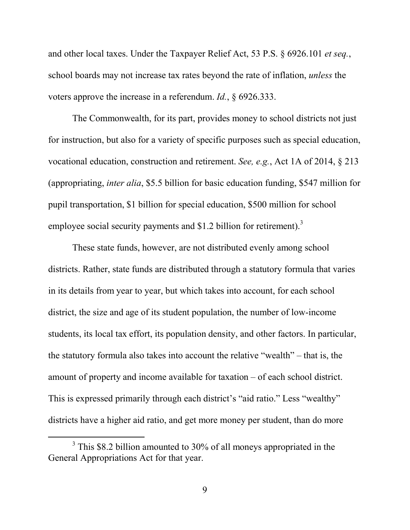and other local taxes. Under the Taxpayer Relief Act, 53 P.S. § 6926.101 *et seq.*, school boards may not increase tax rates beyond the rate of inflation, *unless* the voters approve the increase in a referendum. *Id.*, § 6926.333.

The Commonwealth, for its part, provides money to school districts not just for instruction, but also for a variety of specific purposes such as special education, vocational education, construction and retirement. *See, e.g.*, Act 1A of 2014, § 213 (appropriating, *inter alia*, \$5.5 billion for basic education funding, \$547 million for pupil transportation, \$1 billion for special education, \$500 million for school employee social security payments and \$1.2 billion for retirement).<sup>3</sup>

These state funds, however, are not distributed evenly among school districts. Rather, state funds are distributed through a statutory formula that varies in its details from year to year, but which takes into account, for each school district, the size and age of its student population, the number of low-income students, its local tax effort, its population density, and other factors. In particular, the statutory formula also takes into account the relative "wealth" – that is, the amount of property and income available for taxation – of each school district. This is expressed primarily through each district's "aid ratio." Less "wealthy" districts have a higher aid ratio, and get more money per student, than do more

<sup>&</sup>lt;sup>3</sup> This \$8.2 billion amounted to 30% of all moneys appropriated in the General Appropriations Act for that year.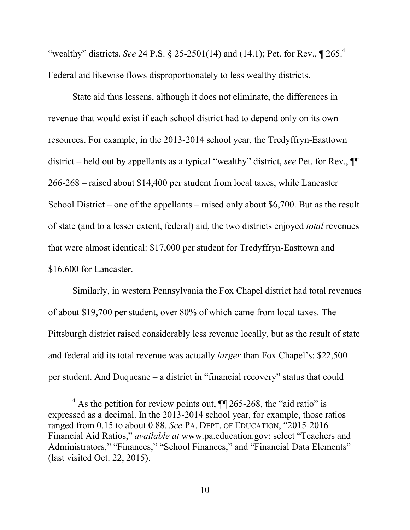"wealthy" districts. *See* 24 P.S. § 25-2501(14) and (14.1); Pet. for Rev., ¶ 265.<sup>4</sup> Federal aid likewise flows disproportionately to less wealthy districts.

State aid thus lessens, although it does not eliminate, the differences in revenue that would exist if each school district had to depend only on its own resources. For example, in the 2013-2014 school year, the Tredyffryn-Easttown district – held out by appellants as a typical "wealthy" district, *see* Pet. for Rev., ¶¶ 266-268 – raised about \$14,400 per student from local taxes, while Lancaster School District – one of the appellants – raised only about \$6,700. But as the result of state (and to a lesser extent, federal) aid, the two districts enjoyed *total* revenues that were almost identical: \$17,000 per student for Tredyffryn-Easttown and \$16,600 for Lancaster.

Similarly, in western Pennsylvania the Fox Chapel district had total revenues of about \$19,700 per student, over 80% of which came from local taxes. The Pittsburgh district raised considerably less revenue locally, but as the result of state and federal aid its total revenue was actually *larger* than Fox Chapel's: \$22,500 per student. And Duquesne – a district in "financial recovery" status that could

 $4$  As the petition for review points out,  $\P$  265-268, the "aid ratio" is expressed as a decimal. In the 2013-2014 school year, for example, those ratios ranged from 0.15 to about 0.88. *See* PA. DEPT. OF EDUCATION, "2015-2016 Financial Aid Ratios," *available at* www.pa.education.gov: select "Teachers and Administrators," "Finances," "School Finances," and "Financial Data Elements" (last visited Oct. 22, 2015).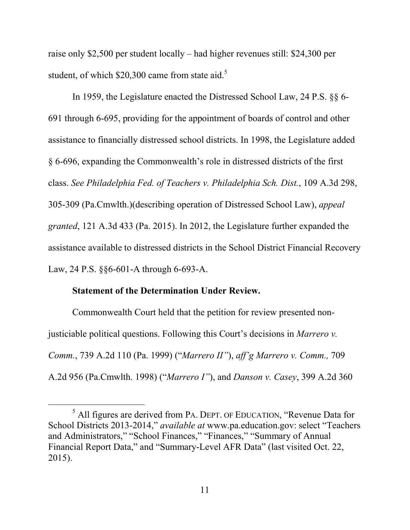raise only \$2,500 per student locally – had higher revenues still: \$24,300 per student, of which  $$20,300$  came from state aid.<sup>5</sup>

In 1959, the Legislature enacted the Distressed School Law, 24 P.S. §§ 6- 691 through 6-695, providing for the appointment of boards of control and other assistance to financially distressed school districts. In 1998, the Legislature added § 6-696, expanding the Commonwealth's role in distressed districts of the first class. *See Philadelphia Fed. of Teachers v. Philadelphia Sch. Dist.*, 109 A.3d 298, 305-309 (Pa.Cmwlth.)(describing operation of Distressed School Law), *appeal granted*, 121 A.3d 433 (Pa. 2015). In 2012, the Legislature further expanded the assistance available to distressed districts in the School District Financial Recovery Law, 24 P.S. §§6-601-A through 6-693-A.

#### **Statement of the Determination Under Review.**

Commonwealth Court held that the petition for review presented nonjusticiable political questions. Following this Court's decisions in *Marrero v. Comm.*, 739 A.2d 110 (Pa. 1999) ("*Marrero II"*), *aff'g Marrero v. Comm.,* 709 A.2d 956 (Pa.Cmwlth. 1998) ("*Marrero I"*), and *Danson v. Casey*, 399 A.2d 360

 <sup>5</sup> All figures are derived from PA. DEPT. OF EDUCATION, "Revenue Data for School Districts 2013-2014," *available at* www.pa.education.gov: select "Teachers and Administrators," "School Finances," "Finances," "Summary of Annual Financial Report Data," and "Summary-Level AFR Data" (last visited Oct. 22, 2015).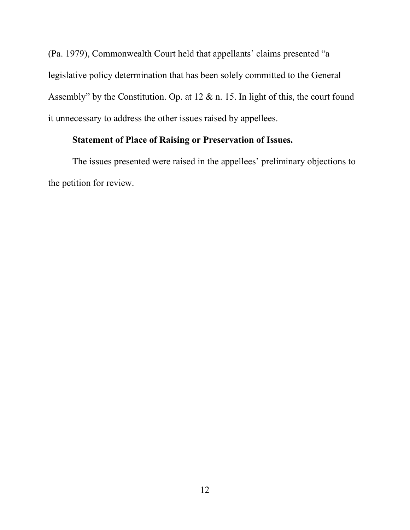(Pa. 1979), Commonwealth Court held that appellants' claims presented "a legislative policy determination that has been solely committed to the General Assembly" by the Constitution. Op. at 12 & n. 15. In light of this, the court found it unnecessary to address the other issues raised by appellees.

## **Statement of Place of Raising or Preservation of Issues.**

The issues presented were raised in the appellees' preliminary objections to the petition for review.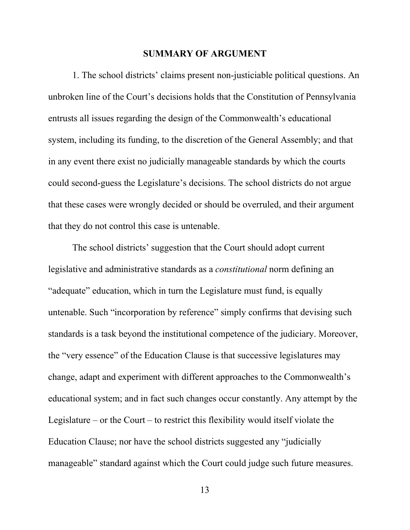#### **SUMMARY OF ARGUMENT**

1. The school districts' claims present non-justiciable political questions. An unbroken line of the Court's decisions holds that the Constitution of Pennsylvania entrusts all issues regarding the design of the Commonwealth's educational system, including its funding, to the discretion of the General Assembly; and that in any event there exist no judicially manageable standards by which the courts could second-guess the Legislature's decisions. The school districts do not argue that these cases were wrongly decided or should be overruled, and their argument that they do not control this case is untenable.

The school districts' suggestion that the Court should adopt current legislative and administrative standards as a *constitutional* norm defining an "adequate" education, which in turn the Legislature must fund, is equally untenable. Such "incorporation by reference" simply confirms that devising such standards is a task beyond the institutional competence of the judiciary. Moreover, the "very essence" of the Education Clause is that successive legislatures may change, adapt and experiment with different approaches to the Commonwealth's educational system; and in fact such changes occur constantly. Any attempt by the Legislature – or the Court – to restrict this flexibility would itself violate the Education Clause; nor have the school districts suggested any "judicially manageable" standard against which the Court could judge such future measures.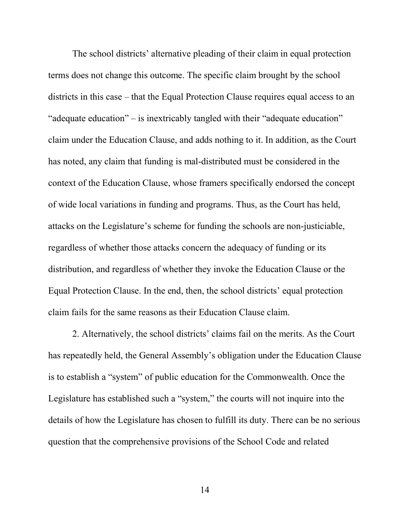The school districts' alternative pleading of their claim in equal protection terms does not change this outcome. The specific claim brought by the school districts in this case – that the Equal Protection Clause requires equal access to an "adequate education" – is inextricably tangled with their "adequate education" claim under the Education Clause, and adds nothing to it. In addition, as the Court has noted, any claim that funding is mal-distributed must be considered in the context of the Education Clause, whose framers specifically endorsed the concept of wide local variations in funding and programs. Thus, as the Court has held, attacks on the Legislature's scheme for funding the schools are non-justiciable, regardless of whether those attacks concern the adequacy of funding or its distribution, and regardless of whether they invoke the Education Clause or the Equal Protection Clause. In the end, then, the school districts' equal protection claim fails for the same reasons as their Education Clause claim.

2. Alternatively, the school districts' claims fail on the merits. As the Court has repeatedly held, the General Assembly's obligation under the Education Clause is to establish a "system" of public education for the Commonwealth. Once the Legislature has established such a "system," the courts will not inquire into the details of how the Legislature has chosen to fulfill its duty. There can be no serious question that the comprehensive provisions of the School Code and related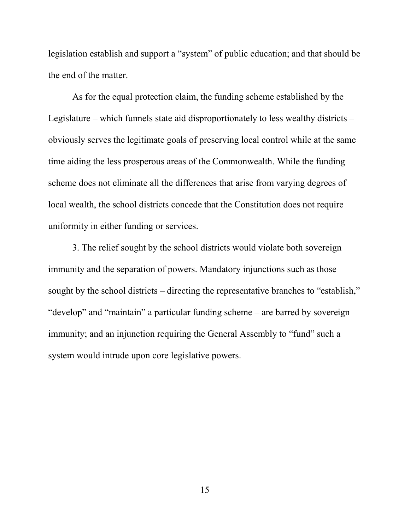legislation establish and support a "system" of public education; and that should be the end of the matter.

As for the equal protection claim, the funding scheme established by the Legislature – which funnels state aid disproportionately to less wealthy districts – obviously serves the legitimate goals of preserving local control while at the same time aiding the less prosperous areas of the Commonwealth. While the funding scheme does not eliminate all the differences that arise from varying degrees of local wealth, the school districts concede that the Constitution does not require uniformity in either funding or services.

3. The relief sought by the school districts would violate both sovereign immunity and the separation of powers. Mandatory injunctions such as those sought by the school districts – directing the representative branches to "establish," "develop" and "maintain" a particular funding scheme – are barred by sovereign immunity; and an injunction requiring the General Assembly to "fund" such a system would intrude upon core legislative powers.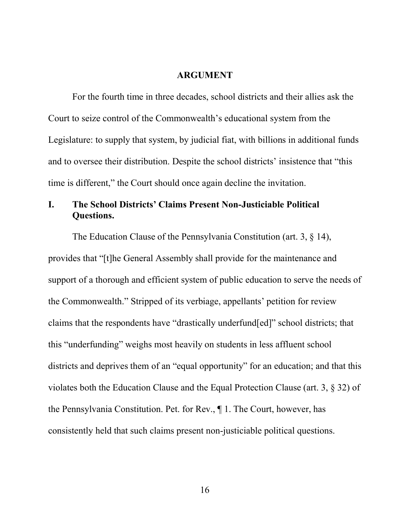#### **ARGUMENT**

For the fourth time in three decades, school districts and their allies ask the Court to seize control of the Commonwealth's educational system from the Legislature: to supply that system, by judicial fiat, with billions in additional funds and to oversee their distribution. Despite the school districts' insistence that "this time is different," the Court should once again decline the invitation.

## **I. The School Districts' Claims Present Non-Justiciable Political Questions.**

The Education Clause of the Pennsylvania Constitution (art. 3, § 14), provides that "[t]he General Assembly shall provide for the maintenance and support of a thorough and efficient system of public education to serve the needs of the Commonwealth." Stripped of its verbiage, appellants' petition for review claims that the respondents have "drastically underfund[ed]" school districts; that this "underfunding" weighs most heavily on students in less affluent school districts and deprives them of an "equal opportunity" for an education; and that this violates both the Education Clause and the Equal Protection Clause (art. 3, § 32) of the Pennsylvania Constitution. Pet. for Rev., ¶ 1. The Court, however, has consistently held that such claims present non-justiciable political questions.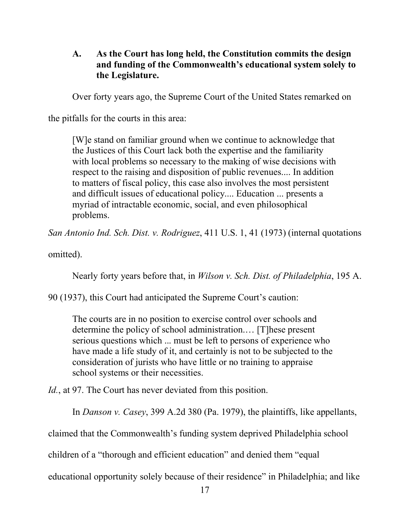## **A. As the Court has long held, the Constitution commits the design and funding of the Commonwealth's educational system solely to the Legislature.**

Over forty years ago, the Supreme Court of the United States remarked on

the pitfalls for the courts in this area:

[W]e stand on familiar ground when we continue to acknowledge that the Justices of this Court lack both the expertise and the familiarity with local problems so necessary to the making of wise decisions with respect to the raising and disposition of public revenues.... In addition to matters of fiscal policy, this case also involves the most persistent and difficult issues of educational policy.... Education ... presents a myriad of intractable economic, social, and even philosophical problems.

*San Antonio Ind. Sch. Dist. v. Rodriguez*, 411 U.S. 1, 41 (1973) (internal quotations

omitted).

Nearly forty years before that, in *Wilson v. Sch. Dist. of Philadelphia*, 195 A.

90 (1937), this Court had anticipated the Supreme Court's caution:

The courts are in no position to exercise control over schools and determine the policy of school administration.… [T]hese present serious questions which ... must be left to persons of experience who have made a life study of it, and certainly is not to be subjected to the consideration of jurists who have little or no training to appraise school systems or their necessities.

*Id.*, at 97. The Court has never deviated from this position.

In *Danson v. Casey*, 399 A.2d 380 (Pa. 1979), the plaintiffs, like appellants,

claimed that the Commonwealth's funding system deprived Philadelphia school

children of a "thorough and efficient education" and denied them "equal

educational opportunity solely because of their residence" in Philadelphia; and like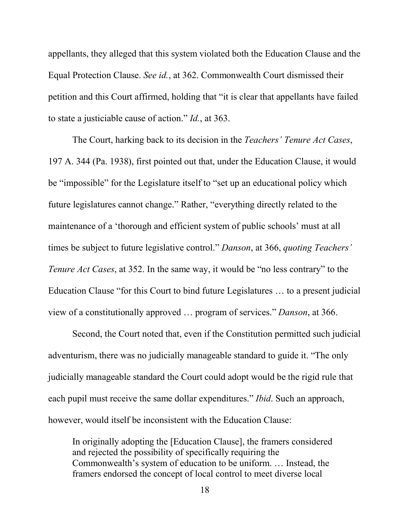appellants, they alleged that this system violated both the Education Clause and the Equal Protection Clause. *See id.*, at 362. Commonwealth Court dismissed their petition and this Court affirmed, holding that "it is clear that appellants have failed to state a justiciable cause of action." *Id.*, at 363.

The Court, harking back to its decision in the *Teachers' Tenure Act Cases*, 197 A. 344 (Pa. 1938), first pointed out that, under the Education Clause, it would be "impossible" for the Legislature itself to "set up an educational policy which future legislatures cannot change." Rather, "everything directly related to the maintenance of a 'thorough and efficient system of public schools' must at all times be subject to future legislative control." *Danson*, at 366, *quoting Teachers' Tenure Act Cases*, at 352. In the same way, it would be "no less contrary" to the Education Clause "for this Court to bind future Legislatures … to a present judicial view of a constitutionally approved … program of services." *Danson*, at 366.

Second, the Court noted that, even if the Constitution permitted such judicial adventurism, there was no judicially manageable standard to guide it. "The only judicially manageable standard the Court could adopt would be the rigid rule that each pupil must receive the same dollar expenditures." *Ibid*. Such an approach, however, would itself be inconsistent with the Education Clause:

In originally adopting the [Education Clause], the framers considered and rejected the possibility of specifically requiring the Commonwealth's system of education to be uniform. … Instead, the framers endorsed the concept of local control to meet diverse local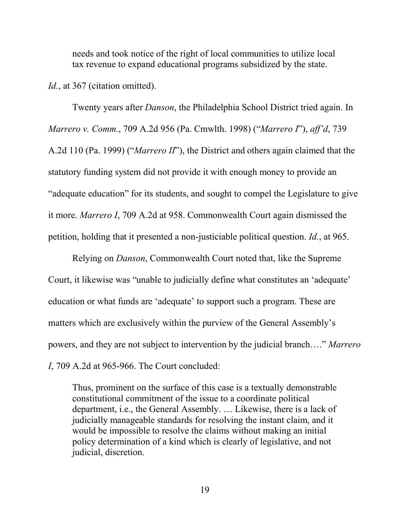needs and took notice of the right of local communities to utilize local tax revenue to expand educational programs subsidized by the state.

Id., at 367 (citation omitted).

Twenty years after *Danson*, the Philadelphia School District tried again. In *Marrero v. Comm.*, 709 A.2d 956 (Pa. Cmwlth. 1998) ("*Marrero I*"), *aff'd*, 739 A.2d 110 (Pa. 1999) ("*Marrero II*"), the District and others again claimed that the statutory funding system did not provide it with enough money to provide an "adequate education" for its students, and sought to compel the Legislature to give it more. *Marrero I*, 709 A.2d at 958. Commonwealth Court again dismissed the petition, holding that it presented a non-justiciable political question. *Id.*, at 965.

Relying on *Danson*, Commonwealth Court noted that, like the Supreme Court, it likewise was "unable to judicially define what constitutes an 'adequate' education or what funds are 'adequate' to support such a program. These are matters which are exclusively within the purview of the General Assembly's powers, and they are not subject to intervention by the judicial branch…." *Marrero I*, 709 A.2d at 965-966. The Court concluded:

Thus, prominent on the surface of this case is a textually demonstrable constitutional commitment of the issue to a coordinate political department, i.e., the General Assembly. … Likewise, there is a lack of judicially manageable standards for resolving the instant claim, and it would be impossible to resolve the claims without making an initial policy determination of a kind which is clearly of legislative, and not judicial, discretion.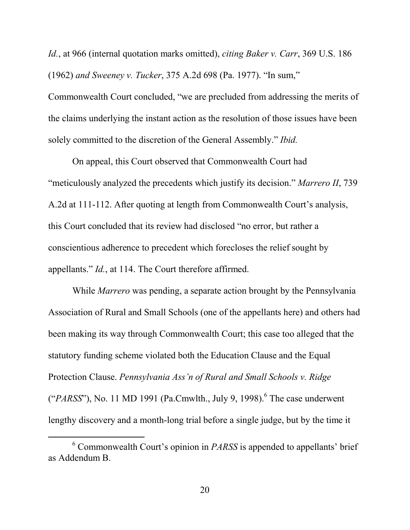*Id.*, at 966 (internal quotation marks omitted), *citing Baker v. Carr*, 369 U.S. 186 (1962) *and Sweeney v. Tucker*, 375 A.2d 698 (Pa. 1977). "In sum,"

Commonwealth Court concluded, "we are precluded from addressing the merits of the claims underlying the instant action as the resolution of those issues have been solely committed to the discretion of the General Assembly." *Ibid.*

On appeal, this Court observed that Commonwealth Court had "meticulously analyzed the precedents which justify its decision." *Marrero II*, 739 A.2d at 111-112. After quoting at length from Commonwealth Court's analysis, this Court concluded that its review had disclosed "no error, but rather a conscientious adherence to precedent which forecloses the relief sought by appellants." *Id.*, at 114. The Court therefore affirmed.

While *Marrero* was pending, a separate action brought by the Pennsylvania Association of Rural and Small Schools (one of the appellants here) and others had been making its way through Commonwealth Court; this case too alleged that the statutory funding scheme violated both the Education Clause and the Equal Protection Clause. *Pennsylvania Ass'n of Rural and Small Schools v. Ridge* ( $PARSS$ "), No. 11 MD 1991 (Pa.Cmwlth., July 9, 1998).<sup>6</sup> The case underwent lengthy discovery and a month-long trial before a single judge, but by the time it

 <sup>6</sup> Commonwealth Court's opinion in *PARSS* is appended to appellants' brief as Addendum B.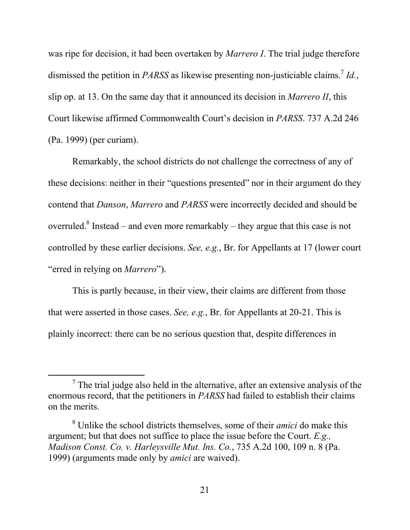was ripe for decision, it had been overtaken by *Marrero I*. The trial judge therefore dismissed the petition in *PARSS* as likewise presenting non-justiciable claims.<sup>7</sup> *Id.*, slip op. at 13. On the same day that it announced its decision in *Marrero II*, this Court likewise affirmed Commonwealth Court's decision in *PARSS*. 737 A.2d 246 (Pa. 1999) (per curiam).

Remarkably, the school districts do not challenge the correctness of any of these decisions: neither in their "questions presented" nor in their argument do they contend that *Danson*, *Marrero* and *PARSS* were incorrectly decided and should be overruled.<sup>8</sup> Instead – and even more remarkably – they argue that this case is not controlled by these earlier decisions. *See, e.g.*, Br. for Appellants at 17 (lower court "erred in relying on *Marrero*").

This is partly because, in their view, their claims are different from those that were asserted in those cases. *See, e.g.*, Br. for Appellants at 20-21. This is plainly incorrect: there can be no serious question that, despite differences in

 $<sup>7</sup>$  The trial judge also held in the alternative, after an extensive analysis of the</sup> enormous record, that the petitioners in *PARSS* had failed to establish their claims on the merits.

<sup>8</sup> Unlike the school districts themselves, some of their *amici* do make this argument; but that does not suffice to place the issue before the Court. *E.g., Madison Const. Co. v. Harleysville Mut. Ins. Co.*, 735 A.2d 100, 109 n. 8 (Pa. 1999) (arguments made only by *amici* are waived).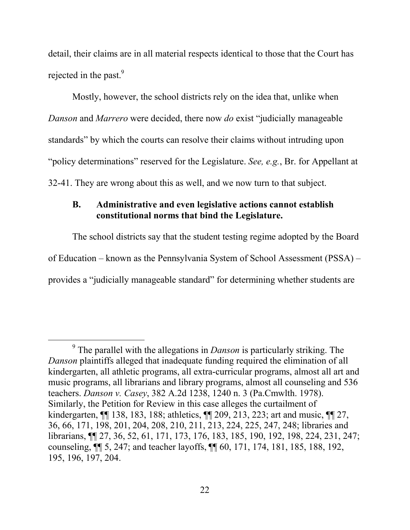detail, their claims are in all material respects identical to those that the Court has rejected in the past.<sup>9</sup>

Mostly, however, the school districts rely on the idea that, unlike when *Danson* and *Marrero* were decided, there now *do* exist "judicially manageable standards" by which the courts can resolve their claims without intruding upon "policy determinations" reserved for the Legislature. *See, e.g.*, Br. for Appellant at 32-41. They are wrong about this as well, and we now turn to that subject.

#### **B. Administrative and even legislative actions cannot establish constitutional norms that bind the Legislature.**

The school districts say that the student testing regime adopted by the Board of Education – known as the Pennsylvania System of School Assessment (PSSA) – provides a "judicially manageable standard" for determining whether students are

 <sup>9</sup> The parallel with the allegations in *Danson* is particularly striking. The *Danson* plaintiffs alleged that inadequate funding required the elimination of all kindergarten, all athletic programs, all extra-curricular programs, almost all art and music programs, all librarians and library programs, almost all counseling and 536 teachers. *Danson v. Casey*, 382 A.2d 1238, 1240 n. 3 (Pa.Cmwlth. 1978). Similarly, the Petition for Review in this case alleges the curtailment of kindergarten, ¶¶ 138, 183, 188; athletics, ¶¶ 209, 213, 223; art and music, ¶¶ 27, 36, 66, 171, 198, 201, 204, 208, 210, 211, 213, 224, 225, 247, 248; libraries and librarians, ¶¶ 27, 36, 52, 61, 171, 173, 176, 183, 185, 190, 192, 198, 224, 231, 247; counseling, ¶¶ 5, 247; and teacher layoffs, ¶¶ 60, 171, 174, 181, 185, 188, 192, 195, 196, 197, 204.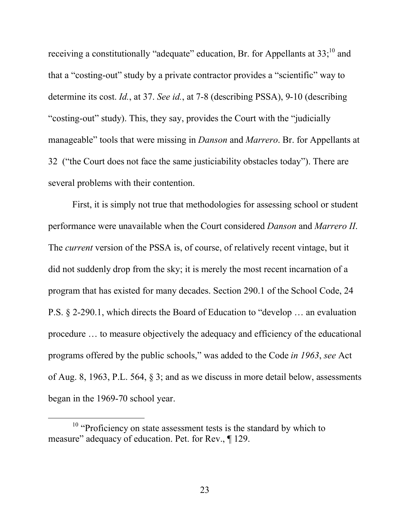receiving a constitutionally "adequate" education, Br. for Appellants at  $33$ ;<sup>10</sup> and that a "costing-out" study by a private contractor provides a "scientific" way to determine its cost. *Id.*, at 37. *See id.*, at 7-8 (describing PSSA), 9-10 (describing "costing-out" study). This, they say, provides the Court with the "judicially manageable" tools that were missing in *Danson* and *Marrero*. Br. for Appellants at 32 ("the Court does not face the same justiciability obstacles today"). There are several problems with their contention.

First, it is simply not true that methodologies for assessing school or student performance were unavailable when the Court considered *Danson* and *Marrero II*. The *current* version of the PSSA is, of course, of relatively recent vintage, but it did not suddenly drop from the sky; it is merely the most recent incarnation of a program that has existed for many decades. Section 290.1 of the School Code, 24 P.S. § 2-290.1, which directs the Board of Education to "develop … an evaluation procedure … to measure objectively the adequacy and efficiency of the educational programs offered by the public schools," was added to the Code *in 1963*, *see* Act of Aug. 8, 1963, P.L. 564, § 3; and as we discuss in more detail below, assessments began in the 1969-70 school year.

<sup>&</sup>lt;sup>10</sup> "Proficiency on state assessment tests is the standard by which to measure" adequacy of education. Pet. for Rev., ¶ 129.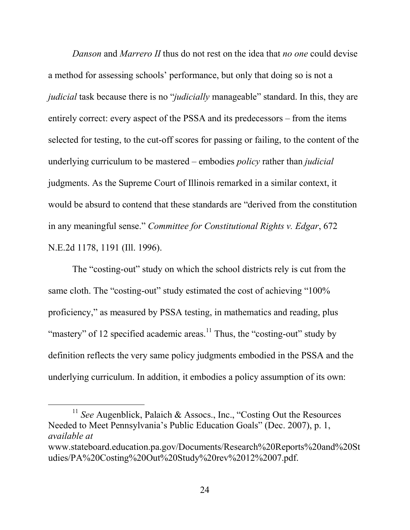*Danson* and *Marrero II* thus do not rest on the idea that *no one* could devise a method for assessing schools' performance, but only that doing so is not a *judicial* task because there is no "*judicially* manageable" standard. In this, they are entirely correct: every aspect of the PSSA and its predecessors – from the items selected for testing, to the cut-off scores for passing or failing, to the content of the underlying curriculum to be mastered – embodies *policy* rather than *judicial* judgments. As the Supreme Court of Illinois remarked in a similar context, it would be absurd to contend that these standards are "derived from the constitution in any meaningful sense." *Committee for Constitutional Rights v. Edgar*, 672 N.E.2d 1178, 1191 (Ill. 1996).

The "costing-out" study on which the school districts rely is cut from the same cloth. The "costing-out" study estimated the cost of achieving "100% proficiency," as measured by PSSA testing, in mathematics and reading, plus "mastery" of 12 specified academic areas. $11$  Thus, the "costing-out" study by definition reflects the very same policy judgments embodied in the PSSA and the underlying curriculum. In addition, it embodies a policy assumption of its own:

<sup>11</sup> *See* Augenblick, Palaich & Assocs., Inc., "Costing Out the Resources" Needed to Meet Pennsylvania's Public Education Goals" (Dec. 2007), p. 1, *available at* www.stateboard.education.pa.gov/Documents/Research%20Reports%20and%20St

udies/PA%20Costing%20Out%20Study%20rev%2012%2007.pdf.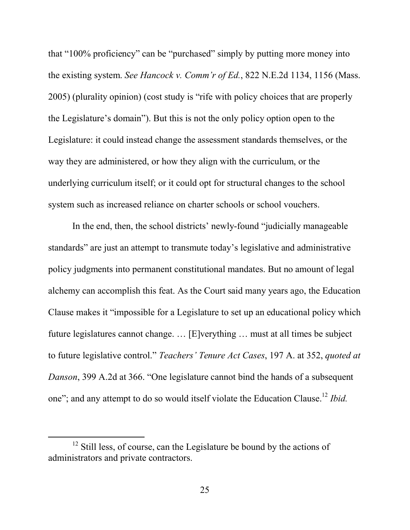that "100% proficiency" can be "purchased" simply by putting more money into the existing system. *See Hancock v. Comm'r of Ed.*, 822 N.E.2d 1134, 1156 (Mass. 2005) (plurality opinion) (cost study is "rife with policy choices that are properly the Legislature's domain"). But this is not the only policy option open to the Legislature: it could instead change the assessment standards themselves, or the way they are administered, or how they align with the curriculum, or the underlying curriculum itself; or it could opt for structural changes to the school system such as increased reliance on charter schools or school vouchers.

In the end, then, the school districts' newly-found "judicially manageable standards" are just an attempt to transmute today's legislative and administrative policy judgments into permanent constitutional mandates. But no amount of legal alchemy can accomplish this feat. As the Court said many years ago, the Education Clause makes it "impossible for a Legislature to set up an educational policy which future legislatures cannot change. … [E]verything … must at all times be subject to future legislative control." *Teachers' Tenure Act Cases*, 197 A. at 352, *quoted at Danson*, 399 A.2d at 366. "One legislature cannot bind the hands of a subsequent one"; and any attempt to do so would itself violate the Education Clause.12 *Ibid.* 

<sup>&</sup>lt;sup>12</sup> Still less, of course, can the Legislature be bound by the actions of administrators and private contractors.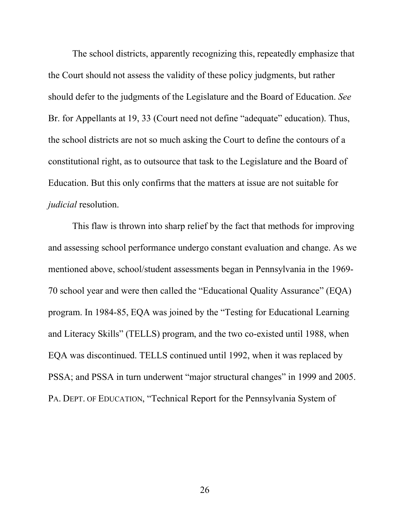The school districts, apparently recognizing this, repeatedly emphasize that the Court should not assess the validity of these policy judgments, but rather should defer to the judgments of the Legislature and the Board of Education. *See* Br. for Appellants at 19, 33 (Court need not define "adequate" education). Thus, the school districts are not so much asking the Court to define the contours of a constitutional right, as to outsource that task to the Legislature and the Board of Education. But this only confirms that the matters at issue are not suitable for *judicial* resolution.

This flaw is thrown into sharp relief by the fact that methods for improving and assessing school performance undergo constant evaluation and change. As we mentioned above, school/student assessments began in Pennsylvania in the 1969- 70 school year and were then called the "Educational Quality Assurance" (EQA) program. In 1984-85, EQA was joined by the "Testing for Educational Learning and Literacy Skills" (TELLS) program, and the two co-existed until 1988, when EQA was discontinued. TELLS continued until 1992, when it was replaced by PSSA; and PSSA in turn underwent "major structural changes" in 1999 and 2005. PA. DEPT. OF EDUCATION, "Technical Report for the Pennsylvania System of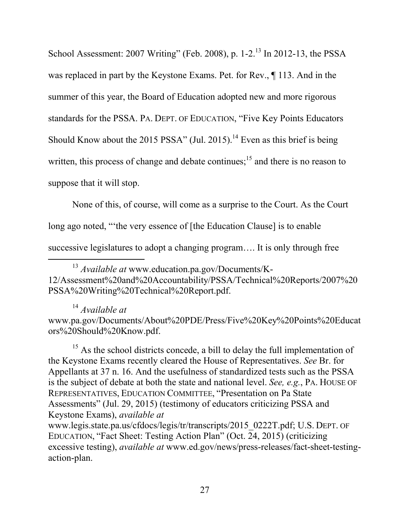School Assessment: 2007 Writing" (Feb. 2008), p.  $1-2$ .<sup>13</sup> In 2012-13, the PSSA was replaced in part by the Keystone Exams. Pet. for Rev., ¶ 113. And in the summer of this year, the Board of Education adopted new and more rigorous standards for the PSSA. PA. DEPT. OF EDUCATION, "Five Key Points Educators Should Know about the 2015 PSSA" (Jul. 2015).<sup>14</sup> Even as this brief is being written, this process of change and debate continues;<sup>15</sup> and there is no reason to suppose that it will stop.

None of this, of course, will come as a surprise to the Court. As the Court long ago noted, "'the very essence of [the Education Clause] is to enable successive legislatures to adopt a changing program…. It is only through free

 13 *Available at* www.education.pa.gov/Documents/K-12/Assessment%20and%20Accountability/PSSA/Technical%20Reports/2007%20 PSSA%20Writing%20Technical%20Report.pdf.

<sup>14</sup> *Available at*

www.pa.gov/Documents/About%20PDE/Press/Five%20Key%20Points%20Educat ors%20Should%20Know.pdf.

 $15$  As the school districts concede, a bill to delay the full implementation of the Keystone Exams recently cleared the House of Representatives. *See* Br. for Appellants at 37 n. 16. And the usefulness of standardized tests such as the PSSA is the subject of debate at both the state and national level. *See, e.g.*, PA. HOUSE OF REPRESENTATIVES, EDUCATION COMMITTEE, "Presentation on Pa State Assessments" (Jul. 29, 2015) (testimony of educators criticizing PSSA and Keystone Exams), *available at* www.legis.state.pa.us/cfdocs/legis/tr/transcripts/2015\_0222T.pdf; U.S. DEPT. OF EDUCATION, "Fact Sheet: Testing Action Plan" (Oct. 24, 2015) (criticizing excessive testing), *available at* www.ed.gov/news/press-releases/fact-sheet-testingaction-plan.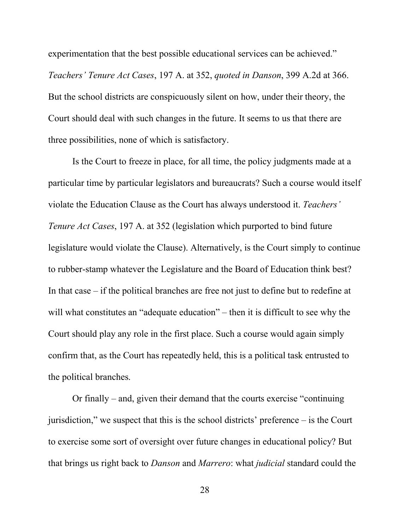experimentation that the best possible educational services can be achieved." *Teachers' Tenure Act Cases*, 197 A. at 352, *quoted in Danson*, 399 A.2d at 366. But the school districts are conspicuously silent on how, under their theory, the Court should deal with such changes in the future. It seems to us that there are three possibilities, none of which is satisfactory.

Is the Court to freeze in place, for all time, the policy judgments made at a particular time by particular legislators and bureaucrats? Such a course would itself violate the Education Clause as the Court has always understood it. *Teachers' Tenure Act Cases*, 197 A. at 352 (legislation which purported to bind future legislature would violate the Clause). Alternatively, is the Court simply to continue to rubber-stamp whatever the Legislature and the Board of Education think best? In that case – if the political branches are free not just to define but to redefine at will what constitutes an "adequate education" – then it is difficult to see why the Court should play any role in the first place. Such a course would again simply confirm that, as the Court has repeatedly held, this is a political task entrusted to the political branches.

Or finally – and, given their demand that the courts exercise "continuing jurisdiction," we suspect that this is the school districts' preference – is the Court to exercise some sort of oversight over future changes in educational policy? But that brings us right back to *Danson* and *Marrero*: what *judicial* standard could the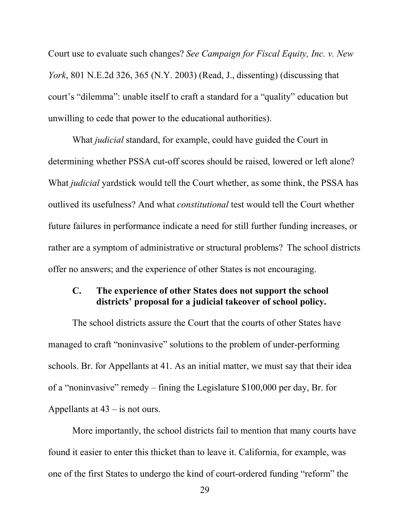Court use to evaluate such changes? *See Campaign for Fiscal Equity, Inc. v. New York*, 801 N.E.2d 326, 365 (N.Y. 2003) (Read, J., dissenting) (discussing that court's "dilemma": unable itself to craft a standard for a "quality" education but unwilling to cede that power to the educational authorities).

What *judicial* standard, for example, could have guided the Court in determining whether PSSA cut-off scores should be raised, lowered or left alone? What *judicial* yardstick would tell the Court whether, as some think, the PSSA has outlived its usefulness? And what *constitutional* test would tell the Court whether future failures in performance indicate a need for still further funding increases, or rather are a symptom of administrative or structural problems? The school districts offer no answers; and the experience of other States is not encouraging.

#### **C. The experience of other States does not support the school districts' proposal for a judicial takeover of school policy.**

The school districts assure the Court that the courts of other States have managed to craft "noninvasive" solutions to the problem of under-performing schools. Br. for Appellants at 41. As an initial matter, we must say that their idea of a "noninvasive" remedy – fining the Legislature \$100,000 per day, Br. for Appellants at 43 – is not ours.

More importantly, the school districts fail to mention that many courts have found it easier to enter this thicket than to leave it. California, for example, was one of the first States to undergo the kind of court-ordered funding "reform" the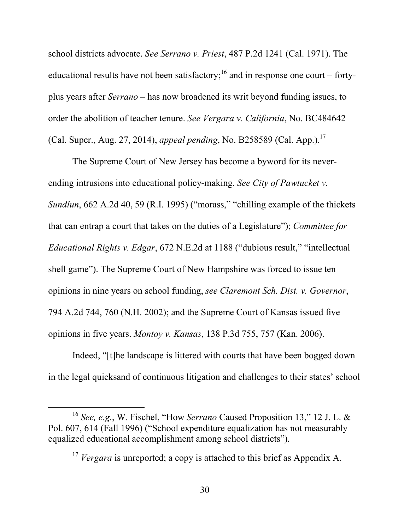school districts advocate. *See Serrano v. Priest*, 487 P.2d 1241 (Cal. 1971). The educational results have not been satisfactory;<sup>16</sup> and in response one court – fortyplus years after *Serrano* – has now broadened its writ beyond funding issues, to order the abolition of teacher tenure. *See Vergara v. California*, No. BC484642 (Cal. Super., Aug. 27, 2014), *appeal pending*, No. B258589 (Cal. App.).<sup>17</sup>

The Supreme Court of New Jersey has become a byword for its neverending intrusions into educational policy-making. *See City of Pawtucket v. Sundlun*, 662 A.2d 40, 59 (R.I. 1995) ("morass," "chilling example of the thickets that can entrap a court that takes on the duties of a Legislature"); *Committee for Educational Rights v. Edgar*, 672 N.E.2d at 1188 ("dubious result," "intellectual shell game"). The Supreme Court of New Hampshire was forced to issue ten opinions in nine years on school funding, *see Claremont Sch. Dist. v. Governor*, 794 A.2d 744, 760 (N.H. 2002); and the Supreme Court of Kansas issued five opinions in five years. *Montoy v. Kansas*, 138 P.3d 755, 757 (Kan. 2006).

Indeed, "[t]he landscape is littered with courts that have been bogged down in the legal quicksand of continuous litigation and challenges to their states' school

 <sup>16</sup> *See, e.g.*, W. Fischel, "How *Serrano* Caused Proposition 13," 12 J. L. & Pol. 607, 614 (Fall 1996) ("School expenditure equalization has not measurably equalized educational accomplishment among school districts").

<sup>&</sup>lt;sup>17</sup> *Vergara* is unreported; a copy is attached to this brief as Appendix A.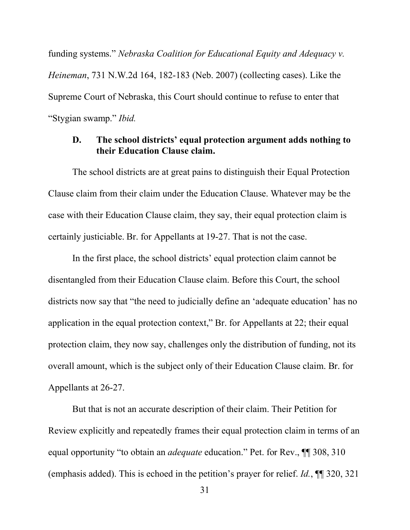funding systems." *Nebraska Coalition for Educational Equity and Adequacy v. Heineman*, 731 N.W.2d 164, 182-183 (Neb. 2007) (collecting cases). Like the Supreme Court of Nebraska, this Court should continue to refuse to enter that "Stygian swamp." *Ibid.*

#### **D. The school districts' equal protection argument adds nothing to their Education Clause claim.**

The school districts are at great pains to distinguish their Equal Protection Clause claim from their claim under the Education Clause. Whatever may be the case with their Education Clause claim, they say, their equal protection claim is certainly justiciable. Br. for Appellants at 19-27. That is not the case.

In the first place, the school districts' equal protection claim cannot be disentangled from their Education Clause claim. Before this Court, the school districts now say that "the need to judicially define an 'adequate education' has no application in the equal protection context," Br. for Appellants at 22; their equal protection claim, they now say, challenges only the distribution of funding, not its overall amount, which is the subject only of their Education Clause claim. Br. for Appellants at 26-27.

But that is not an accurate description of their claim. Their Petition for Review explicitly and repeatedly frames their equal protection claim in terms of an equal opportunity "to obtain an *adequate* education." Pet. for Rev., ¶¶ 308, 310 (emphasis added). This is echoed in the petition's prayer for relief. *Id.*, ¶¶ 320, 321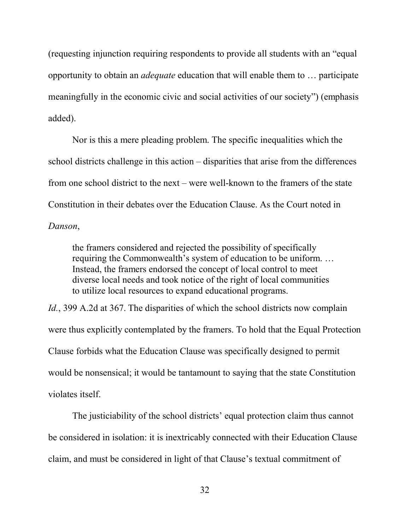(requesting injunction requiring respondents to provide all students with an "equal opportunity to obtain an *adequate* education that will enable them to … participate meaningfully in the economic civic and social activities of our society") (emphasis added).

Nor is this a mere pleading problem. The specific inequalities which the school districts challenge in this action – disparities that arise from the differences from one school district to the next – were well-known to the framers of the state Constitution in their debates over the Education Clause. As the Court noted in *Danson*,

the framers considered and rejected the possibility of specifically requiring the Commonwealth's system of education to be uniform. … Instead, the framers endorsed the concept of local control to meet diverse local needs and took notice of the right of local communities to utilize local resources to expand educational programs.

*Id.*, 399 A.2d at 367. The disparities of which the school districts now complain were thus explicitly contemplated by the framers. To hold that the Equal Protection Clause forbids what the Education Clause was specifically designed to permit would be nonsensical; it would be tantamount to saying that the state Constitution violates itself.

The justiciability of the school districts' equal protection claim thus cannot be considered in isolation: it is inextricably connected with their Education Clause claim, and must be considered in light of that Clause's textual commitment of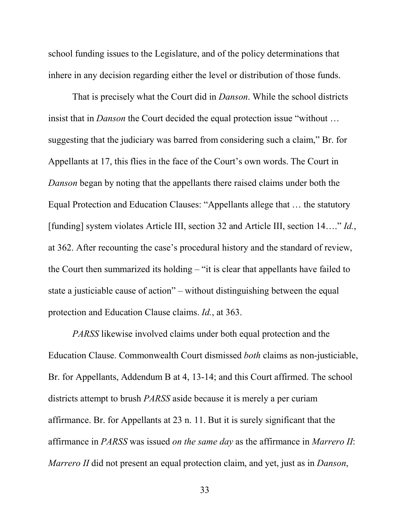school funding issues to the Legislature, and of the policy determinations that inhere in any decision regarding either the level or distribution of those funds.

That is precisely what the Court did in *Danson*. While the school districts insist that in *Danson* the Court decided the equal protection issue "without … suggesting that the judiciary was barred from considering such a claim," Br. for Appellants at 17, this flies in the face of the Court's own words. The Court in *Danson* began by noting that the appellants there raised claims under both the Equal Protection and Education Clauses: "Appellants allege that … the statutory [funding] system violates Article III, section 32 and Article III, section 14…." *Id.*, at 362. After recounting the case's procedural history and the standard of review, the Court then summarized its holding – "it is clear that appellants have failed to state a justiciable cause of action" – without distinguishing between the equal protection and Education Clause claims. *Id.*, at 363.

*PARSS* likewise involved claims under both equal protection and the Education Clause. Commonwealth Court dismissed *both* claims as non-justiciable, Br. for Appellants, Addendum B at 4, 13-14; and this Court affirmed. The school districts attempt to brush *PARSS* aside because it is merely a per curiam affirmance. Br. for Appellants at 23 n. 11. But it is surely significant that the affirmance in *PARSS* was issued *on the same day* as the affirmance in *Marrero II*: *Marrero II* did not present an equal protection claim, and yet, just as in *Danson*,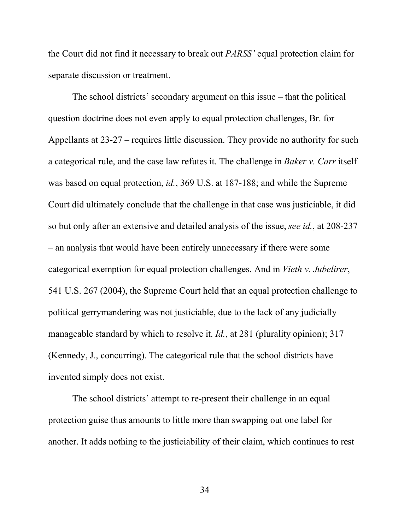the Court did not find it necessary to break out *PARSS'* equal protection claim for separate discussion or treatment.

The school districts' secondary argument on this issue – that the political question doctrine does not even apply to equal protection challenges, Br. for Appellants at 23-27 – requires little discussion. They provide no authority for such a categorical rule, and the case law refutes it. The challenge in *Baker v. Carr* itself was based on equal protection, *id.*, 369 U.S. at 187-188; and while the Supreme Court did ultimately conclude that the challenge in that case was justiciable, it did so but only after an extensive and detailed analysis of the issue, *see id.*, at 208-237 – an analysis that would have been entirely unnecessary if there were some categorical exemption for equal protection challenges. And in *Vieth v. Jubelirer*, 541 U.S. 267 (2004), the Supreme Court held that an equal protection challenge to political gerrymandering was not justiciable, due to the lack of any judicially manageable standard by which to resolve it. *Id.*, at 281 (plurality opinion); 317 (Kennedy, J., concurring). The categorical rule that the school districts have invented simply does not exist.

The school districts' attempt to re-present their challenge in an equal protection guise thus amounts to little more than swapping out one label for another. It adds nothing to the justiciability of their claim, which continues to rest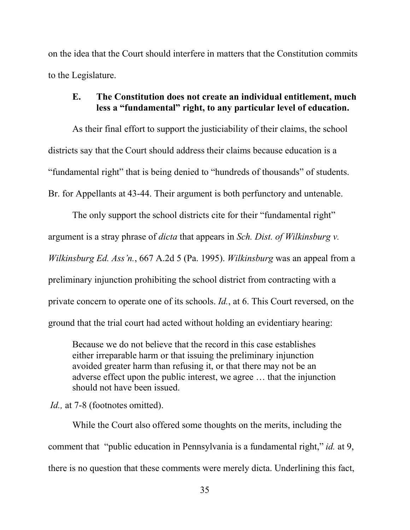on the idea that the Court should interfere in matters that the Constitution commits to the Legislature.

#### **E. The Constitution does not create an individual entitlement, much less a "fundamental" right, to any particular level of education.**

As their final effort to support the justiciability of their claims, the school districts say that the Court should address their claims because education is a "fundamental right" that is being denied to "hundreds of thousands" of students. Br. for Appellants at 43-44. Their argument is both perfunctory and untenable.

The only support the school districts cite for their "fundamental right" argument is a stray phrase of *dicta* that appears in *Sch. Dist. of Wilkinsburg v. Wilkinsburg Ed. Ass'n.*, 667 A.2d 5 (Pa. 1995). *Wilkinsburg* was an appeal from a preliminary injunction prohibiting the school district from contracting with a private concern to operate one of its schools. *Id.*, at 6. This Court reversed, on the ground that the trial court had acted without holding an evidentiary hearing:

Because we do not believe that the record in this case establishes either irreparable harm or that issuing the preliminary injunction avoided greater harm than refusing it, or that there may not be an adverse effect upon the public interest, we agree … that the injunction should not have been issued.

*Id.*, at 7-8 (footnotes omitted).

While the Court also offered some thoughts on the merits, including the comment that "public education in Pennsylvania is a fundamental right," *id.* at 9, there is no question that these comments were merely dicta. Underlining this fact,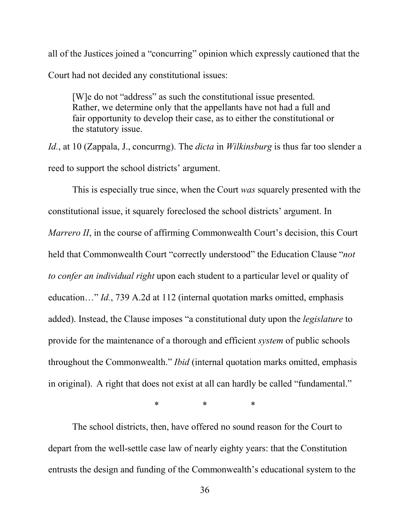all of the Justices joined a "concurring" opinion which expressly cautioned that the Court had not decided any constitutional issues:

[W]e do not "address" as such the constitutional issue presented. Rather, we determine only that the appellants have not had a full and fair opportunity to develop their case, as to either the constitutional or the statutory issue.

*Id.*, at 10 (Zappala, J., concurrng). The *dicta* in *Wilkinsburg* is thus far too slender a reed to support the school districts' argument.

This is especially true since, when the Court *was* squarely presented with the constitutional issue, it squarely foreclosed the school districts' argument. In *Marrero II*, in the course of affirming Commonwealth Court's decision, this Court held that Commonwealth Court "correctly understood" the Education Clause "*not to confer an individual right* upon each student to a particular level or quality of education…" *Id.*, 739 A.2d at 112 (internal quotation marks omitted, emphasis added). Instead, the Clause imposes "a constitutional duty upon the *legislature* to provide for the maintenance of a thorough and efficient *system* of public schools throughout the Commonwealth." *Ibid* (internal quotation marks omitted, emphasis in original). A right that does not exist at all can hardly be called "fundamental."

\* \* \*

The school districts, then, have offered no sound reason for the Court to depart from the well-settle case law of nearly eighty years: that the Constitution entrusts the design and funding of the Commonwealth's educational system to the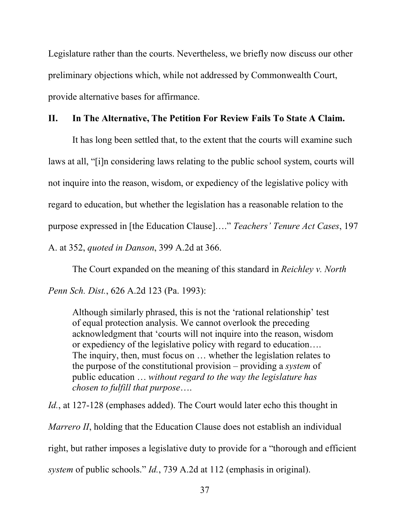Legislature rather than the courts. Nevertheless, we briefly now discuss our other preliminary objections which, while not addressed by Commonwealth Court, provide alternative bases for affirmance.

#### **II. In The Alternative, The Petition For Review Fails To State A Claim.**

It has long been settled that, to the extent that the courts will examine such laws at all, "[i]n considering laws relating to the public school system, courts will not inquire into the reason, wisdom, or expediency of the legislative policy with regard to education, but whether the legislation has a reasonable relation to the purpose expressed in [the Education Clause]…." *Teachers' Tenure Act Cases*, 197 A. at 352, *quoted in Danson*, 399 A.2d at 366.

The Court expanded on the meaning of this standard in *Reichley v. North Penn Sch. Dist.*, 626 A.2d 123 (Pa. 1993):

Although similarly phrased, this is not the 'rational relationship' test of equal protection analysis. We cannot overlook the preceding acknowledgment that 'courts will not inquire into the reason, wisdom or expediency of the legislative policy with regard to education…. The inquiry, then, must focus on … whether the legislation relates to the purpose of the constitutional provision – providing a *system* of public education … *without regard to the way the legislature has chosen to fulfill that purpose*….

*Id.*, at 127-128 (emphases added). The Court would later echo this thought in *Marrero II*, holding that the Education Clause does not establish an individual right, but rather imposes a legislative duty to provide for a "thorough and efficient *system* of public schools." *Id.*, 739 A.2d at 112 (emphasis in original).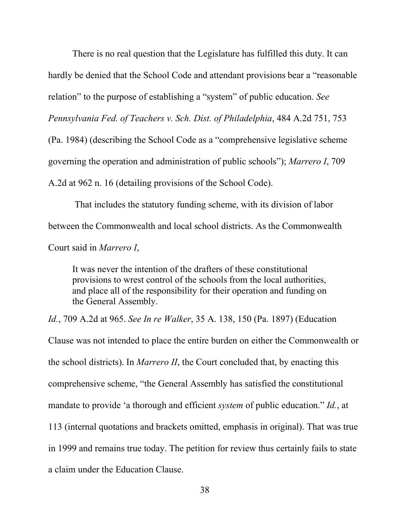There is no real question that the Legislature has fulfilled this duty. It can hardly be denied that the School Code and attendant provisions bear a "reasonable relation" to the purpose of establishing a "system" of public education. *See Pennsylvania Fed. of Teachers v. Sch. Dist. of Philadelphia*, 484 A.2d 751, 753 (Pa. 1984) (describing the School Code as a "comprehensive legislative scheme governing the operation and administration of public schools"); *Marrero I*, 709 A.2d at 962 n. 16 (detailing provisions of the School Code).

That includes the statutory funding scheme, with its division of labor between the Commonwealth and local school districts. As the Commonwealth Court said in *Marrero I*,

It was never the intention of the drafters of these constitutional provisions to wrest control of the schools from the local authorities, and place all of the responsibility for their operation and funding on the General Assembly.

*Id.*, 709 A.2d at 965. *See In re Walker*, 35 A. 138, 150 (Pa. 1897) (Education Clause was not intended to place the entire burden on either the Commonwealth or the school districts). In *Marrero II*, the Court concluded that, by enacting this comprehensive scheme, "the General Assembly has satisfied the constitutional mandate to provide 'a thorough and efficient *system* of public education." *Id.*, at 113 (internal quotations and brackets omitted, emphasis in original). That was true in 1999 and remains true today. The petition for review thus certainly fails to state a claim under the Education Clause.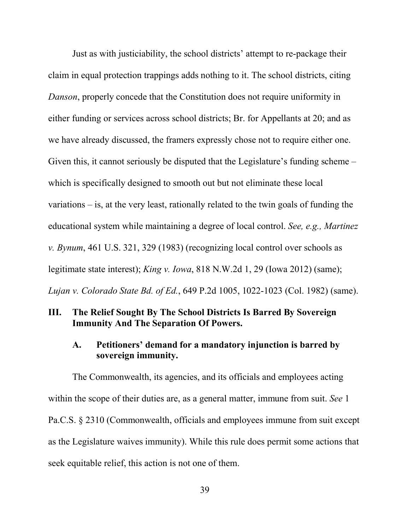Just as with justiciability, the school districts' attempt to re-package their claim in equal protection trappings adds nothing to it. The school districts, citing *Danson*, properly concede that the Constitution does not require uniformity in either funding or services across school districts; Br. for Appellants at 20; and as we have already discussed, the framers expressly chose not to require either one. Given this, it cannot seriously be disputed that the Legislature's funding scheme – which is specifically designed to smooth out but not eliminate these local variations – is, at the very least, rationally related to the twin goals of funding the educational system while maintaining a degree of local control. *See, e.g., Martinez v. Bynum*, 461 U.S. 321, 329 (1983) (recognizing local control over schools as legitimate state interest); *King v. Iowa*, 818 N.W.2d 1, 29 (Iowa 2012) (same); *Lujan v. Colorado State Bd. of Ed.*, 649 P.2d 1005, 1022-1023 (Col. 1982) (same).

## **III. The Relief Sought By The School Districts Is Barred By Sovereign Immunity And The Separation Of Powers.**

#### **A. Petitioners' demand for a mandatory injunction is barred by sovereign immunity.**

The Commonwealth, its agencies, and its officials and employees acting within the scope of their duties are, as a general matter, immune from suit. *See* 1 Pa.C.S. § 2310 (Commonwealth, officials and employees immune from suit except as the Legislature waives immunity). While this rule does permit some actions that seek equitable relief, this action is not one of them.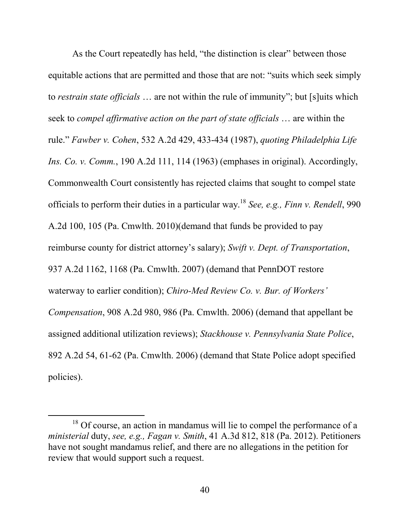As the Court repeatedly has held, "the distinction is clear" between those equitable actions that are permitted and those that are not: "suits which seek simply to *restrain state officials* … are not within the rule of immunity"; but [s]uits which seek to *compel affirmative action on the part of state officials* … are within the rule." *Fawber v. Cohen*, 532 A.2d 429, 433-434 (1987), *quoting Philadelphia Life Ins. Co. v. Comm.*, 190 A.2d 111, 114 (1963) (emphases in original). Accordingly, Commonwealth Court consistently has rejected claims that sought to compel state officials to perform their duties in a particular way.<sup>18</sup> *See, e.g., Finn v. Rendell*, 990 A.2d 100, 105 (Pa. Cmwlth. 2010)(demand that funds be provided to pay reimburse county for district attorney's salary); *Swift v. Dept. of Transportation*, 937 A.2d 1162, 1168 (Pa. Cmwlth. 2007) (demand that PennDOT restore waterway to earlier condition); *Chiro-Med Review Co. v. Bur. of Workers' Compensation*, 908 A.2d 980, 986 (Pa. Cmwlth. 2006) (demand that appellant be assigned additional utilization reviews); *Stackhouse v. Pennsylvania State Police*, 892 A.2d 54, 61-62 (Pa. Cmwlth. 2006) (demand that State Police adopt specified policies).

<sup>&</sup>lt;sup>18</sup> Of course, an action in mandamus will lie to compel the performance of a *ministerial* duty, *see, e.g., Fagan v. Smith*, 41 A.3d 812, 818 (Pa. 2012). Petitioners have not sought mandamus relief, and there are no allegations in the petition for review that would support such a request.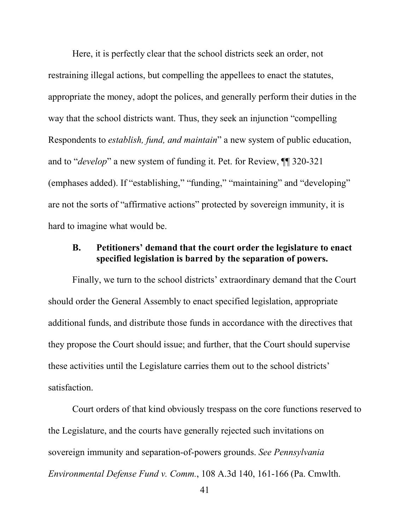Here, it is perfectly clear that the school districts seek an order, not restraining illegal actions, but compelling the appellees to enact the statutes, appropriate the money, adopt the polices, and generally perform their duties in the way that the school districts want. Thus, they seek an injunction "compelling Respondents to *establish, fund, and maintain*" a new system of public education, and to "*develop*" a new system of funding it. Pet. for Review, ¶¶ 320-321 (emphases added). If "establishing," "funding," "maintaining" and "developing" are not the sorts of "affirmative actions" protected by sovereign immunity, it is hard to imagine what would be.

#### **B. Petitioners' demand that the court order the legislature to enact specified legislation is barred by the separation of powers.**

Finally, we turn to the school districts' extraordinary demand that the Court should order the General Assembly to enact specified legislation, appropriate additional funds, and distribute those funds in accordance with the directives that they propose the Court should issue; and further, that the Court should supervise these activities until the Legislature carries them out to the school districts' satisfaction.

Court orders of that kind obviously trespass on the core functions reserved to the Legislature, and the courts have generally rejected such invitations on sovereign immunity and separation-of-powers grounds. *See Pennsylvania Environmental Defense Fund v. Comm.*, 108 A.3d 140, 161-166 (Pa. Cmwlth.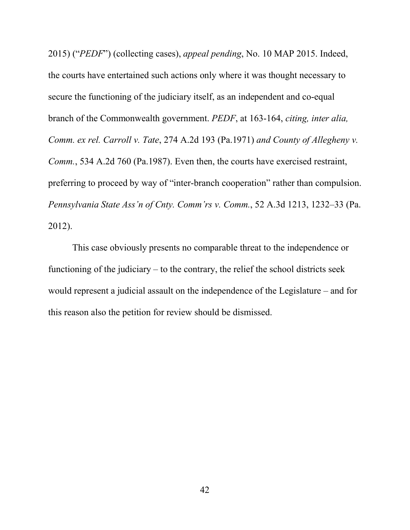2015) ("*PEDF*") (collecting cases), *appeal pending*, No. 10 MAP 2015. Indeed, the courts have entertained such actions only where it was thought necessary to secure the functioning of the judiciary itself, as an independent and co-equal branch of the Commonwealth government. *PEDF*, at 163-164, *citing, inter alia, Comm. ex rel. Carroll v. Tate*, 274 A.2d 193 (Pa.1971) *and County of Allegheny v. Comm.*, 534 A.2d 760 (Pa.1987). Even then, the courts have exercised restraint, preferring to proceed by way of "inter-branch cooperation" rather than compulsion. *Pennsylvania State Ass'n of Cnty. Comm'rs v. Comm.*, 52 A.3d 1213, 1232–33 (Pa. 2012).

This case obviously presents no comparable threat to the independence or functioning of the judiciary – to the contrary, the relief the school districts seek would represent a judicial assault on the independence of the Legislature – and for this reason also the petition for review should be dismissed.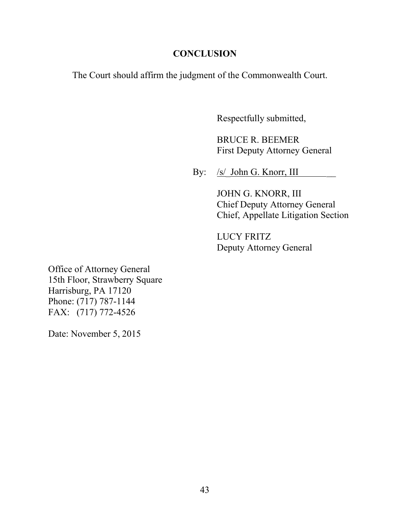## **CONCLUSION**

The Court should affirm the judgment of the Commonwealth Court.

Respectfully submitted,

BRUCE R. BEEMER First Deputy Attorney General

By: <u>/s/\_John G. Knorr, III</u>

JOHN G. KNORR, III Chief Deputy Attorney General Chief, Appellate Litigation Section

LUCY FRITZ Deputy Attorney General

Office of Attorney General 15th Floor, Strawberry Square Harrisburg, PA 17120 Phone: (717) 787-1144 FAX: (717) 772-4526

Date: November 5, 2015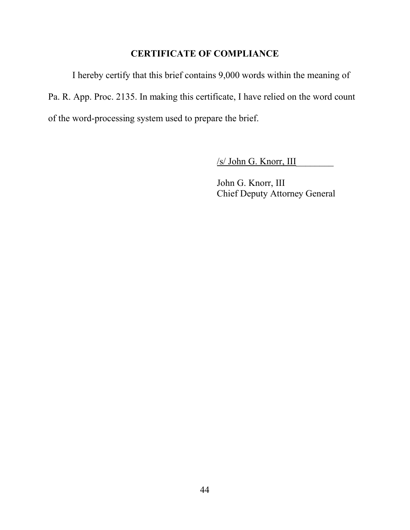## **CERTIFICATE OF COMPLIANCE**

I hereby certify that this brief contains 9,000 words within the meaning of Pa. R. App. Proc. 2135. In making this certificate, I have relied on the word count of the word-processing system used to prepare the brief.

 $/s/$  John G. Knorr, III

John G. Knorr, III Chief Deputy Attorney General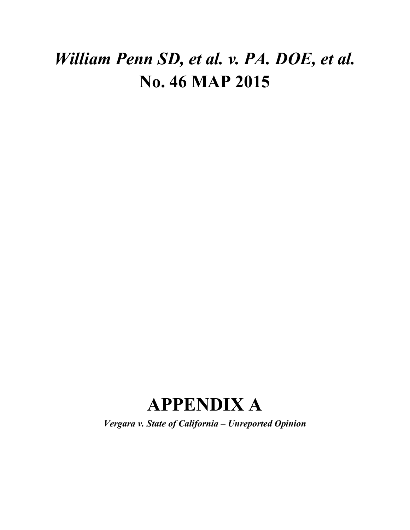# *William Penn SD, et al. v. PA. DOE, et al.* **No. 46 MAP 2015**

# **APPENDIX A**

*Vergara v. State of California – Unreported Opinion*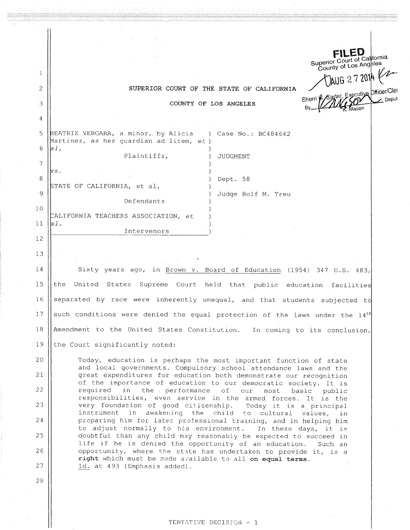|    |                                                                                                                                                                                                                                                                        |                                           | Superior Court of California<br>County of Los Angbles |
|----|------------------------------------------------------------------------------------------------------------------------------------------------------------------------------------------------------------------------------------------------------------------------|-------------------------------------------|-------------------------------------------------------|
| 1  |                                                                                                                                                                                                                                                                        |                                           | JAUG 272014                                           |
| 2  |                                                                                                                                                                                                                                                                        | SUPERIOR COURT OF THE STATE OF CALIFORNIA | Sherri A Sarter, Executive Dificer/Cler               |
| 3  |                                                                                                                                                                                                                                                                        | COUNTY OF LOS ANGELES                     |                                                       |
| 4  |                                                                                                                                                                                                                                                                        |                                           |                                                       |
| 5  | BEATRIZ VERGARA, a minor, by Alicia (b) Case No.: BC484642<br>Martinez, as her guardian ad litem, et)                                                                                                                                                                  |                                           |                                                       |
| 6  | a1,<br>Plaintiffs,                                                                                                                                                                                                                                                     | JUDGMENT                                  |                                                       |
| 7  | vs.                                                                                                                                                                                                                                                                    |                                           |                                                       |
| 8  | STATE OF CALIFORNIA, et al,                                                                                                                                                                                                                                            | Dept. 58                                  |                                                       |
| 9  | Defendants                                                                                                                                                                                                                                                             | Judge Rolf M. Treu                        |                                                       |
| 10 | CALIFORNIA TEACHERS ASSOCIATION, et                                                                                                                                                                                                                                    |                                           |                                                       |
| 11 | a1,                                                                                                                                                                                                                                                                    |                                           |                                                       |
| 12 | Intervenors                                                                                                                                                                                                                                                            |                                           |                                                       |
| 13 |                                                                                                                                                                                                                                                                        |                                           |                                                       |
| 14 | Sixty years ago, in Brown v. Board of Education (1954) 347 U.S. 483,                                                                                                                                                                                                   |                                           |                                                       |
| 15 | United States Supreme Court held that public<br>the                                                                                                                                                                                                                    |                                           | education facilities                                  |
| 16 | separated by race were inherently unequal, and that students subjected to                                                                                                                                                                                              |                                           |                                                       |
| 17 | such conditions were denied the equal protection of the laws under the 14 <sup>th</sup>                                                                                                                                                                                |                                           |                                                       |
| 18 | Amendment to the United States Constitution. In coming to its conclusion,                                                                                                                                                                                              |                                           |                                                       |
| 19 | the Court significantly noted:                                                                                                                                                                                                                                         |                                           |                                                       |
| 20 | Today, education is perhaps the most important function of state                                                                                                                                                                                                       |                                           |                                                       |
| 21 | and local governments. Compulsory school attendance laws and the<br>great expenditures for education both demonstrate our recognition                                                                                                                                  |                                           |                                                       |
| 22 | of the importance of education to our democratic society. It is                                                                                                                                                                                                        |                                           |                                                       |
| 23 | in the performance of our<br>required<br>most<br>basic<br>public<br>responsibilities, even service in the armed forces. It is the<br>very foundation of good citizenship.<br>Today it is a principal<br>instrument in awakening the child to cultural<br>values,<br>in |                                           |                                                       |
|    |                                                                                                                                                                                                                                                                        |                                           |                                                       |
| 24 | preparing him for later professional training, and in helping him<br>to adjust normally to his environment.                                                                                                                                                            |                                           | In these days, it is                                  |
| 25 | doubtful than any child may reasonably be expected to succeed in<br>life if he is denied the opportunity of an education.                                                                                                                                              |                                           | Such an                                               |
| 26 | opportunity, where the state has undertaken to provide it, is a<br>right which must be made available to all on equal terms.                                                                                                                                           |                                           |                                                       |
| 27 | Id. at 493 (Emphasis added).                                                                                                                                                                                                                                           |                                           |                                                       |
| 28 |                                                                                                                                                                                                                                                                        |                                           |                                                       |
|    |                                                                                                                                                                                                                                                                        |                                           |                                                       |

TENTATIVE DECISION - 1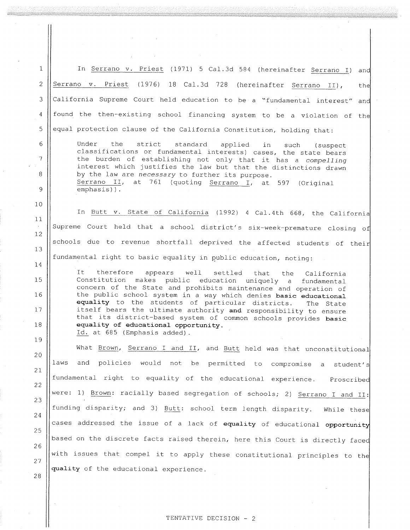In Serrano v. Priest (1971) 5 Cal.3d 584 (hereinafter Serrano I) and  $\mathbf{1}$ Serrano v. Priest (1976) 18 Cal.3d 728 (hereinafter Serrano II),  $\overline{2}$ the California Supreme Court held education to be a "fundamental interest" and 3 found the then-existing school financing system to be a violation of the  $\overline{4}$ equal protection clause of the California Constitution, holding that: 5 Under  $\epsilon$ the strict standard applied in such (suspect) classifications or fundamental interests) cases, the state bears  $\overline{\phantom{a}}$ the burden of establishing not only that it has a compelling interest which justifies the law but that the distinctions drawn 8 by the law are necessary to further its purpose. Serrano II, at 761 (quoting Serrano I, at 597 (Original 9 emphasis)).  $10$ In Butt v. State of California (1992) 4 Cal.4th 668, the California  $11$ Supreme Court held that a school district's six-week-premature closing of 12 schools due to revenue shortfall deprived the affected students of their 13 fundamental right to basic equality in public education, noting: 14 It therefore well appears settled that the California Constitution makes public 15 education uniquely a fundamental concern of the State and prohibits maintenance and operation of the public school system in a way which denies basic educational 16 equality to the students of particular districts. The State itself bears the ultimate authority and responsibility to ensure  $17$ that its district-based system of common schools provides basic  $1\,8$ equality of educational opportunity. Id. at 685 (Emphasis added). 19 What Brown, Serrano I and II, and Butt held was that unconstitutional 20 and policies would not laws be permitted to compromise student's  $\mathsf{a}$  $21$ fundamental right to equality of the educational experience. Proscribed 22 were: 1) Brown: racially based segregation of schools; 2) Serrano I and II: 23 funding disparity; and 3) Butt: school term length disparity. While these 24 cases addressed the issue of a lack of equality of educational opportunity 25 based on the discrete facts raised therein, here this Court is directly faced 26 with issues that compel it to apply these constitutional principles to the 27 quality of the educational experience. 28

#### TENTATIVE DECISION - 2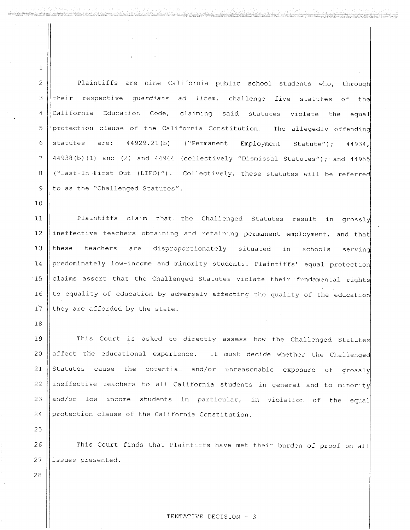$\overline{c}$ Plaintiffs are nine California public school students who, through 3 their respective guardians ad litem, challenge five statutes of the claiming said statutes violate the  $\overline{a}$ California Education Code, equal protection clause of the California Constitution. The allegedly offending  $\mathfrak{s}$  $\overline{6}$ statutes  $are: 44929.21(b)$  ("Permanent" Employment Statute"); 44934, 44938(b)(1) and (2) and 44944 (collectively "Dismissal Statutes"); and 44955  $\overline{7}$ 8 ("Last-In-First Out (LIFO)"). Collectively, these statutes will be referred 9 to as the "Challenged Statutes".

Plaintiffs claim that the Challenged Statutes result in grossly  $11$ ineffective teachers obtaining and retaining permanent employment, and that 12 13 these teachers are disproportionately situated in schools serving predominately low-income and minority students. Plaintiffs' equal protection 14 claims assert that the Challenged Statutes violate their fundamental rights 15 to equality of education by adversely affecting the quality of the education 16  $17$ they are afforded by the state.

This Court is asked to directly assess how the Challenged Statutes 19 affect the educational experience. It must decide whether the Challenged 20 21 Statutes cause the potential and/or unreasonable exposure of grossly ineffective teachers to all California students in general and to minority 22 and/or low income students in particular, in violation of the equal 23 24 protection clause of the California Constitution.

25

28

18

 $\mathbf{1}$ 

 $10$ 

This Court finds that Plaintiffs have met their burden of proof on all 26 27 issues presented.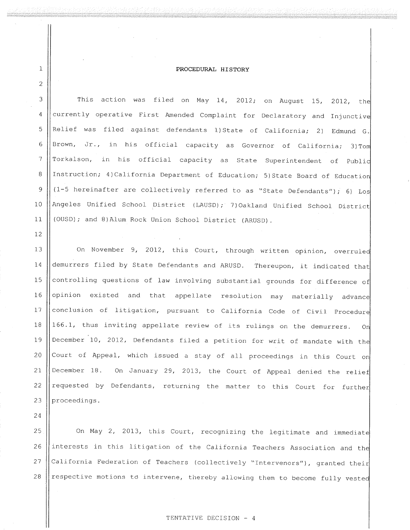#### PROCEDURAL HISTORY

3 This action was filed on May 14, 2012; on August 15, 2012, the currently operative First Amended Complaint for Declaratory and Injunctive  $\overline{A}$ Relief was filed against defendants 1) State of California; 2) Edmund G. 5 Brown, Jr., in his official capacity as Governor of California; 3) Tom  $6\phantom{1}6$  $\overline{\mathcal{I}}$ Torkalson, in his official capacity as State Superintendent of Publid Instruction; 4) California Department of Education; 5) State Board of Education 8  $(1-5$  hereinafter are collectively referred to as "State Defendants"); 6) Los 9 Angeles Unified School District (LAUSD); 7)Oakland Unified School District  $10$ (OUSD); and 8) Alum Rock Union School District (ARUSD).  $11$ 

On November 9, 2012, this Court, through written opinion, overruled 13 demurrers filed by State Defendants and ARUSD. Thereupon, it indicated that 14 controlling questions of law involving substantial grounds for difference of 15 opinion existed and that appellate resolution may materially advance 16 conclusion of litigation, pursuant to California Code of Civil Procedure 17 166.1, thus inviting appellate review of its rulings on the demurrers. 18 On December 10, 2012, Defendants filed a petition for writ of mandate with the 19 Court of Appeal, which issued a stay of all proceedings in this Court on 20 December 18. On January 29, 2013, the Court of Appeal denied the relief  $21$ requested by Defendants, returning the matter to this Court for further 22 proceedings. 23

24

 $1\,$ 

 $\overline{c}$ 

 $12$ 

On May 2, 2013, this Court, recognizing the legitimate and immediate 25 interests in this litigation of the California Teachers Association and the 26 California Federation of Teachers (collectively "Intervenors"), granted their 27 respective motions to intervene, thereby allowing them to become fully vested 28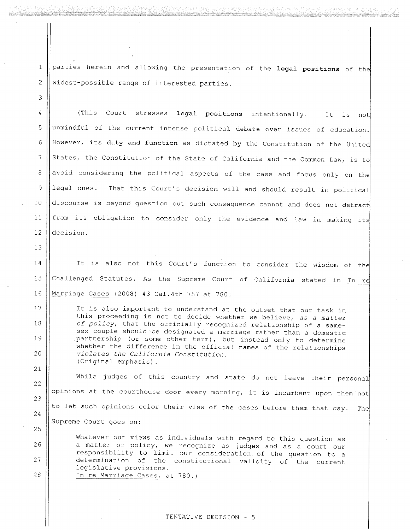parties herein and allowing the presentation of the legal positions of the widest-possible range of interested parties.

legal positions intentionally. 4 (This Court stresses It is not unmindful of the current intense political debate over issues of education. 5 However, its duty and function as dictated by the Constitution of the United 6 States, the Constitution of the State of California and the Common Law, is to 7 avoid considering the political aspects of the case and focus only on the 8 9 legal ones. That this Court's decision will and should result in political discourse is beyond question but such consequence cannot and does not detract from its obligation to consider only the evidence and law in making its  $11$  $12$ decision.

13

 $17$ 

18

19

20

21

25

26

27

28

 $10$ 

 $1\,$ 

 $\overline{2}$ 

3

It is also not this Court's function to consider the wisdom of the 14 Challenged Statutes. As the Supreme Court of California stated in In re 15 16 Marriage Cases (2008) 43 Cal.4th 757 at 780:

It is also important to understand at the outset that our task in this proceeding is not to decide whether we believe, as a matter of policy, that the officially recognized relationship of a samesex couple should be designated a marriage rather than a domestic partnership (or some other term), but instead only to determine whether the difference in the official names of the relationships violates the California Constitution. (Original emphasis).

While judges of this country and state do not leave their personal 22 opinions at the courthouse door every morning, it is incumbent upon them not 23 to let such opinions color their view of the cases before them that day. The 24 Supreme Court goes on:

Whatever our views as individuals with regard to this question as a matter of policy, we recognize as judges and as a court our responsibility to limit our consideration of the question to a determination of the constitutional validity of the current legislative provisions. In re Marriage Cases, at 780.)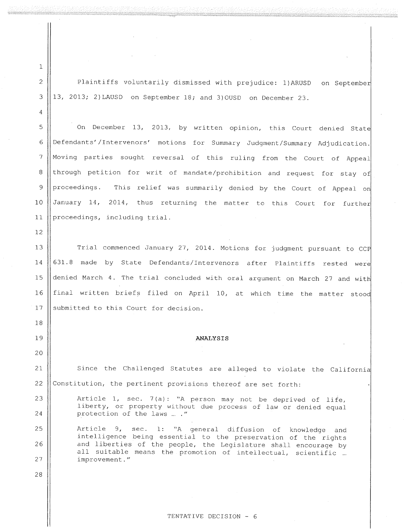$\mathbf 1$  $\overline{c}$ 

3

 $\overline{4}$ 

Plaintiffs voluntarily dismissed with prejudice: 1) ARUSD on September 13, 2013; 2) LAUSD on September 18; and 3) OUSD on December 23.

On December 13, 2013, by written opinion, this Court denied State 5 Defendants'/Intervenors' motions for Summary Judgment/Summary Adjudication. 6 Moving parties sought reversal of this ruling from the Court of Appeal  $\overline{7}$ through petition for writ of mandate/prohibition and request for stay of 8 This relief was summarily denied by the Court of Appeal on 9 proceedings. January 14, 2014, thus returning the matter to this Court for further  $10$ proceedings, including trial.  $11$ 

 $12$ 

Trial commenced January 27, 2014. Motions for judgment pursuant to CCP  $13$ 631.8 made by State Defendants/Intervenors after Plaintiffs rested were  $14$ denied March 4. The trial concluded with oral argument on March 27 and with 15 final written briefs filed on April 10, at which time the matter stood 16 17 submitted to this Court for decision.

#### **ANALYSIS**

 $21$ 

22

25

26

27

28

18

19

20

Since the Challenged Statutes are alleged to violate the California Constitution, the pertinent provisions thereof are set forth:

23 Article 1, sec. 7(a): "A person may not be deprived of life, liberty, or property without due process of law or denied equal 24 protection of the laws ... ."

Article 9, sec. 1: "A general diffusion of knowledge and intelligence being essential to the preservation of the rights and liberties of the people, the Legislature shall encourage by all suitable means the promotion of intellectual, scientific ... improvement."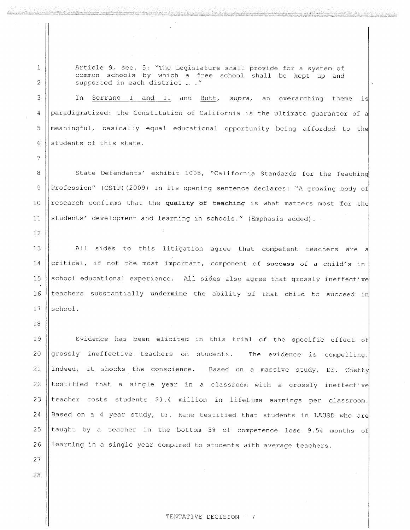Article 9, sec. 5: "The Legislature shall provide for a system of common schools by which a free school shall be kept up and supported in each district ... ."

In Serrano I and II and Butt, supra, an overarching theme is paradigmatized: the Constitution of California is the ultimate guarantor of a meaningful, basically equal educational opportunity being afforded to the students of this state.

State Defendants' exhibit 1005, "California Standards for the Teaching Profession" (CSTP) (2009) in its opening sentence declares: "A growing body of research confirms that the quality of teaching is what matters most for the students' development and learning in schools." (Emphasis added).

13 All sides to this litigation agree that competent teachers are a critical, if not the most important, component of success of a child's in-14 school educational experience. All sides also agree that grossly ineffective 15 teachers substantially undermine the ability of that child to succeed in 16  $17$ school.

19 Evidence has been elicited in this trial of the specific effect of grossly ineffective teachers on students. The evidence is compelling. 20 21 Indeed, it shocks the conscience. Based on a massive study, Dr. Chetty 22 testified that a single year in a classroom with a grossly ineffective 23 teacher costs students \$1.4 million in lifetime earnings per classroom.  $24$ Based on a 4 year study, Dr. Kane testified that students in LAUSD who are taught by a teacher in the bottom 5% of competence lose 9.54 months of 25 26 learning in a single year compared to students with average teachers.

28

27

 $1\,$ 

 $\overline{2}$ 

3

 $\overline{4}$ 

5

6

 $\overline{7}$ 

8

9

10

 $11$ 

 $12$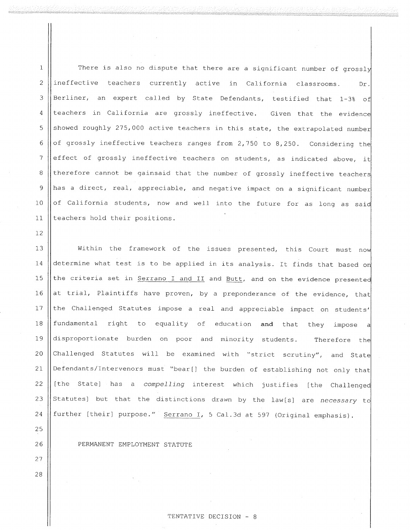There is also no dispute that there are a significant number of grossly  $\mathbf{1}$  $\overline{c}$ ineffective teachers currently active in California classrooms. Dr. Berliner, an expert called by State Defendants, testified that 1-3% of 3 teachers in California are grossly ineffective. Given that the evidence  $\overline{4}$ showed roughly 275,000 active teachers in this state, the extrapolated number 5 of grossly ineffective teachers ranges from 2,750 to 8,250. Considering the 6 effect of grossly ineffective teachers on students, as indicated above, it  $\overline{7}$ therefore cannot be gainsaid that the number of grossly ineffective teachers 8 has a direct, real, appreciable, and negative impact on a significant number 9 of California students, now and well into the future for as long as said  $10$ teachers hold their positions.  $11$ 

 $13$ Within the framework of the issues presented, this Court must now determine what test is to be applied in its analysis. It finds that based on  $14$ the criteria set in Serrano I and II and Butt, and on the evidence presented  $15$ at trial, Plaintiffs have proven, by a preponderance of the evidence, that 16 the Challenged Statutes impose a real and appreciable impact on students'  $17$ fundamental right to equality of education and that they impose 18 a 19 disproportionate burden on poor and minority students. Therefore the Challenged Statutes will be examined with "strict scrutiny", and State 20 Defendants/Intervenors must "bear[] the burden of establishing not only that  $21$ [the State] has a compelling interest which justifies [the Challenged 22 Statutes) but that the distinctions drawn by the law[s] are necessary to 23 further [their] purpose." Serrano I, 5 Cal.3d at 597 (Original emphasis). 24

PERMANENT EMPLOYMENT STATUTE

 $12$ 

25

26

27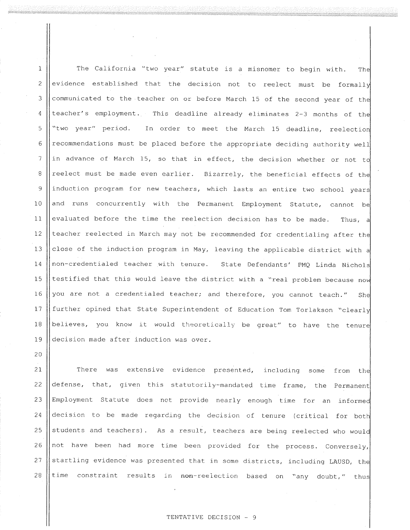The California "two year" statute is a misnomer to begin with. The  $\mathbf{1}$ evidence established that the decision not to reelect must be formally  $\overline{2}$ communicated to the teacher on or before March 15 of the second year of the 3 teacher's employment. This deadline already eliminates 2-3 months of the  $\overline{4}$ 5 "two year" period. In order to meet the March 15 deadline, reelection recommendations must be placed before the appropriate deciding authority well 6  $\overline{\mathcal{U}}$ in advance of March 15, so that in effect, the decision whether or not to reelect must be made even earlier. Bizarrely, the beneficial effects of the 8 induction program for new teachers, which lasts an entire two school years  $\mathsf{Q}$  $10$ and runs concurrently with the Permanent Employment Statute, cannot be  $11$ evaluated before the time the reelection decision has to be made. Thus, a teacher reelected in March may not be recommended for credentialing after the  $12$ close of the induction program in May, leaving the applicable district with a 13 non-credentialed teacher with tenure. State Defendants' PMQ Linda Nichols  $14$ testified that this would leave the district with a "real problem because now 15 you are not a credentialed teacher; and therefore, you cannot teach." 16 She  $17$ further opined that State Superintendent of Education Tom Torlakson "clearly 18 believes, you know it would theoretically be great" to have the tenure decision made after induction was over. 19

There was extensive evidence presented, including some from the  $21$ defense, that, given this statutorily-mandated time frame, the Permanent 22 23 Employment Statute does not provide nearly enough time for an informed decision to be made regarding the decision of tenure (critical for both 24 students and teachers). As a result, teachers are being reelected who would 25 not have been had more time been provided for the process. Conversely, 26 startling evidence was presented that in some districts, including LAUSD, the  $2.7$ time constraint results in non-reelection based on "any doubt," thus 28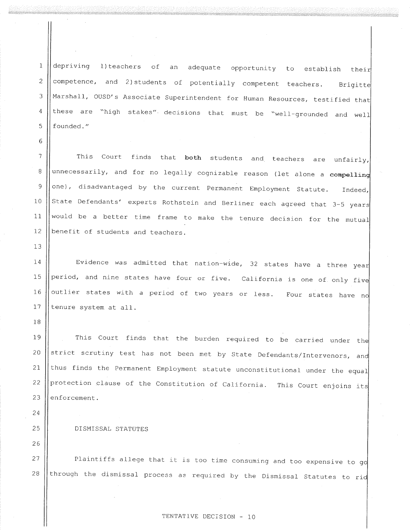$1\,$ depriving 1) teachers of adequate opportunity to establish their an  $\overline{c}$ competence, and 2) students of potentially competent teachers. Brigitte Marshall, OUSD's Associate Superintendent for Human Resources, testified that 3 these are "high stakes" decisions that must be "well-grounded and well  $\sqrt{4}$ founded." 5

This Court finds that both students and teachers are unfairly,  $\overline{7}$ unnecessarily, and for no legally cognizable reason (let alone a compelling 8 one), disadvantaged by the current Permanent Employment Statute.  $\mathsf{Q}$ Indeed, State Defendants' experts Rothstein and Berliner each agreed that 3-5 years 10 would be a better time frame to make the tenure decision for the mutual  $11$ benefit of students and teachers.  $12$ 

Evidence was admitted that nation-wide, 32 states have a three year 14 period, and nine states have four or five. California is one of only five 15 outlier states with a period of two years or less. Four states have no  $16$  $17$ tenure system at all.

This Court finds that the burden required to be carried under the 19 strict scrutiny test has not been met by State Defendants/Intervenors, and 20 thus finds the Permanent Employment statute unconstitutional under the equal 21 protection clause of the Constitution of California. This Court enjoins its 22 enforcement. 23

DISMISSAL STATUTES

6

 $13$ 

18

24

25

26

Plaintiffs allege that it is too time consuming and too expensive to go 27 through the dismissal process as required by the Dismissal Statutes to rid 28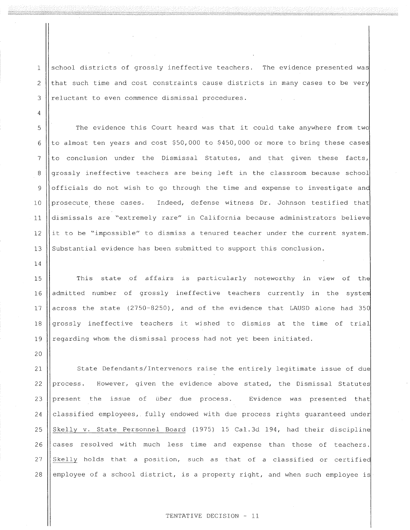school districts of grossly ineffective teachers. The evidence presented was that such time and cost constraints cause districts in many cases to be very reluctant to even commence dismissal procedures.

 $\mathbf{1}$ 

 $\overline{2}$ 

3

4

5

6

 $14$ 

20

The evidence this Court heard was that it could take anywhere from two to almost ten years and cost \$50,000 to \$450,000 or more to bring these cases  $\overline{7}$ to conclusion under the Dismissal Statutes, and that given these facts, grossly ineffective teachers are being left in the classroom because school 8 officials do not wish to go through the time and expense to investigate and 9 prosecute these cases. Indeed, defense witness Dr. Johnson testified that  $10$ dismissals are "extremely rare" in California because administrators believe  $11$ it to be "impossible" to dismiss a tenured teacher under the current system.  $12$ Substantial evidence has been submitted to support this conclusion.  $13$ 

This state of affairs is particularly noteworthy in view of the 15 16 admitted number of grossly ineffective teachers currently in the system across the state (2750-8250), and of the evidence that LAUSD alone had 350  $17$ 18 grossly ineffective teachers it wished to dismiss at the time of trial regarding whom the dismissal process had not yet been initiated. 19

State Defendants/Intervenors raise the entirely legitimate issue of due 21 However, given the evidence above stated, the Dismissal Statutes 22 process.  $23$ present the issue of über due process. Evidence was presented that  $24$ classified employees, fully endowed with due process rights quaranteed under Skelly v. State Personnel Board (1975) 15 Cal.3d 194, had their discipline 25 26 cases resolved with much less time and expense than those of teachers. 27 Skelly holds that a position, such as that of a classified or certified 28 employee of a school district, is a property right, and when such employee is

#### TENTATIVE DECISION - 11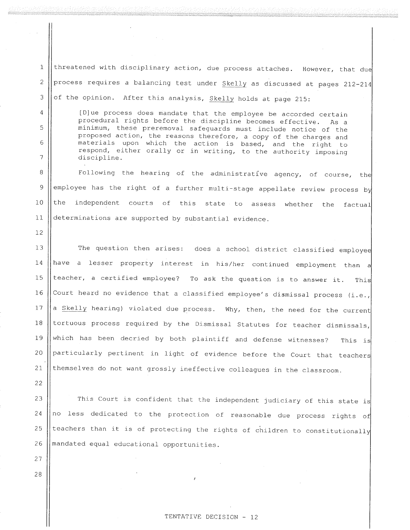threatened with disciplinary action, due process attaches. However, that due  $\mathbf 1$  $\overline{c}$ process requires a balancing test under Skelly as discussed at pages 212-214 of the opinion. After this analysis, Skelly holds at page 215: 3

[D]ue process does mandate that the employee be accorded certain procedural rights before the discipline becomes effective. As a minimum, these preremoval safeguards must include notice of the proposed action, the reasons therefore, a copy of the charges and materials upon which the action is based, and the right to respond, either orally or in writing, to the authority imposing discipline.

8 Following the hearing of the administrative agency, of course, the employee has the right of a further multi-stage appellate review process by 9 the independent courts of this state to assess whether the  $10$ factual  $11$ determinations are supported by substantial evidence.

 $13$ The question then arises: does a school district classified employee have a lesser property interest in his/her continued employment than a 14 teacher, a certified employee? To ask the question is to answer it.  $15$ This Court heard no evidence that a classified employee's dismissal process (i.e., 16 a Skelly hearing) violated due process. Why, then, the need for the current 17 tortuous process required by the Dismissal Statutes for teacher dismissals, 18 which has been decried by both plaintiff and defense witnesses? 19 This is 20 particularly pertinent in light of evidence before the Court that teachers themselves do not want grossly ineffective colleagues in the classroom. 21

22

27

28

4

5

6

7

 $12$ 

This Court is confident that the independent judiciary of this state is  $23$ no less dedicated to the protection of reasonable due process rights of 24 teachers than it is of protecting the rights of children to constitutionally 25 mandated equal educational opportunities. 26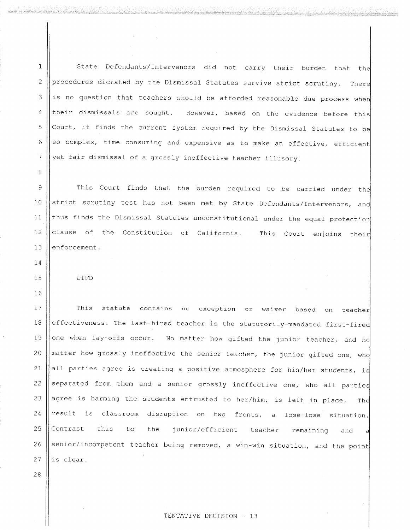State Defendants/Intervenors did not carry their burden that the  $\mathbf{1}$ procedures dictated by the Dismissal Statutes survive strict scrutiny. There  $\overline{c}$ is no question that teachers should be afforded reasonable due process when 3 their dismissals are sought. However, based on the evidence before this  $\overline{a}$ Court, it finds the current system required by the Dismissal Statutes to be 5 so complex, time consuming and expensive as to make an effective, efficient 6  $\overline{7}$ yet fair dismissal of a grossly ineffective teacher illusory.

This Court finds that the burden required to be carried under the 9 strict scrutiny test has not been met by State Defendants/Intervenors, and 10 thus finds the Dismissal Statutes unconstitutional under the equal protection  $11$ clause of the Constitution of California. This Court enjoins their 12 enforcement. 13

LIFO

This statute contains no exception or waiver based on teacher  $17$  $1\,8$ effectiveness. The last-hired teacher is the statutorily-mandated first-fired one when lay-offs occur. No matter how gifted the junior teacher, and no 19 20 matter how grossly ineffective the senior teacher, the junior gifted one, who  $21$ all parties agree is creating a positive atmosphere for his/her students, is separated from them and a senior grossly ineffective one, who all parties 22 23 agree is harming the students entrusted to her/him, is left in place. The result is classroom disruption on two fronts, a lose-lose situation.  $24$ 25 Contrast this to junior/efficient the teacher remaining and a 26 senior/incompetent teacher being removed, a win-win situation, and the point 27 is clear.

TENTATIVE DECISION - 13

16

8

 $14$ 

 $15$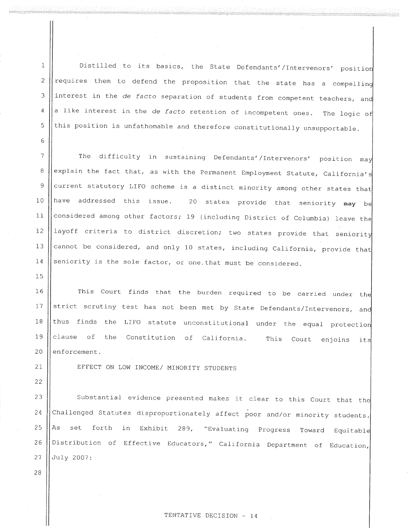Distilled to its basics, the State Defendants'/Intervenors' position  $\mathbf{1}$ requires them to defend the proposition that the state has a compelling  $\overline{2}$ interest in the de facto separation of students from competent teachers, and 3 a like interest in the de facto retention of incompetent ones. The logic of  $\overline{4}$ this position is unfathomable and therefore constitutionally unsupportable. 5

 $\overline{7}$ The difficulty in sustaining Defendants'/Intervenors' position may explain the fact that, as with the Permanent Employment Statute, California's 8 current statutory LIFO scheme is a distinct minority among other states that 9 have addressed this issue. 20 states provide that seniority may be  $10$ considered among other factors; 19 (including District of Columbia) leave the  $11$ layoff criteria to district discretion; two states provide that seniority  $12$ cannot be considered, and only 10 states, including California, provide that 13 seniority is the sole factor, or one that must be considered. 14

This Court finds that the burden required to be carried under the 16 strict scrutiny test has not been met by State Defendants/Intervenors, and  $17$ thus finds the LIFO statute unconstitutional under the equal protection  $1\,8$ 19 clause of the Constitution of California. This Court enjoins its 20 enforcement.

 $21$ 22

28

15

6

EFFECT ON LOW INCOME/ MINORITY STUDENTS

Substantial evidence presented makes it clear to this Court that the 23 Challenged Statutes disproportionately affect poor and/or minority students. 24 forth in Exhibit 289, "Evaluating Progress Toward Equitable 25 As set Distribution of Effective Educators," California Department of Education, 26 July 2007: 27

TENTATIVE DECISION - 14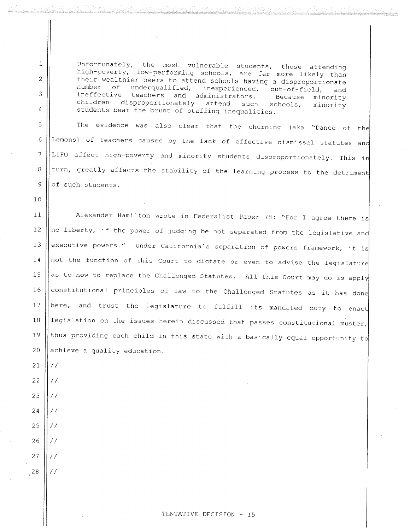Unfortunately, the most vulnerable students, those attending high-poverty, low-performing schools, are far more likely than their wealthier peers to attend schools having a disproportionate underqualified, number of inexperienced, out-of-field, and teachers and administrators. ineffective Because minority children disproportionately attend such schools, minority students bear the brunt of staffing inequalities.

The evidence was also clear that the churning (aka "Dance of the Lemons) of teachers caused by the lack of effective dismissal statutes and LIFO affect high-poverty and minority students disproportionately. This in turn, greatly affects the stability of the learning process to the detriment of such students.

Alexander Hamilton wrote in Federalist Paper 78: "For I agree there is  $11$ no liberty, if the power of judging be not separated from the legislative and  $12$ executive powers." Under California's separation of powers framework, it is 13 not the function of this Court to dictate or even to advise the legislature  $14$ as to how to replace the Challenged Statutes. All this Court may do is apply  $15$ constitutional principles of law to the Challenged Statutes as it has done 16 here, and trust the legislature to fulfill its mandated duty to enact  $17$ legislation on the issues herein discussed that passes constitutional muster, thus providing each child in this state with a basically equal opportunity to achieve a quality education.

 $\frac{1}{2}$ 

 $\frac{1}{2}$ 

 $\frac{1}{2}$ 

 $\frac{1}{2}$ 

 $\frac{1}{2}$ 

 $\frac{1}{2}$ 

 $\frac{1}{2}$ 

 $1\,$ 

 $\overline{c}$ 

3

 $\boldsymbol{4}$ 

5

6

 $\overline{7}$ 

 $\, 8$ 

9

 $10$ 

 $28$  $\frac{1}{2}$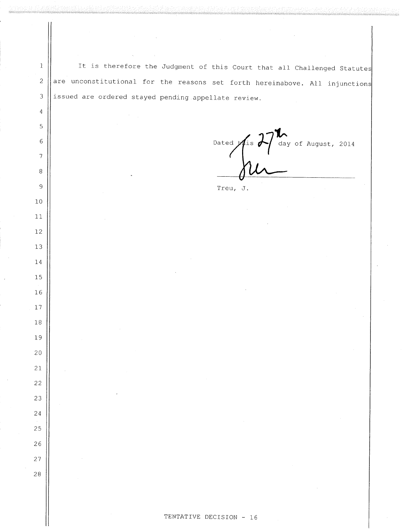It is therefore the Judgment of this Court that all Challenged Statutes are unconstitutional for the reasons set forth hereinabove. All injunctions issued are ordered stayed pending appellate review.

 $\,1$ 

 $\bar{z}$ 

 $\mathfrak{Z}$ 

 $\sqrt{4}$ 

5

 $6\,$ 

 $\overline{7}$ 

 $\,8\,$ 

 $\overline{9}$ 

 $10$ 

 $11$ 

 $12$ 

13

14

15

16

17

 $1\,8$ 

19

 $20$ 

21

22

23

24

25

26

 $2\,7$ 

28

Dated  $\sqrt{\text{1 s}}$   $\sqrt{\text{4 a}}$  of August, 2014

Treu, J.